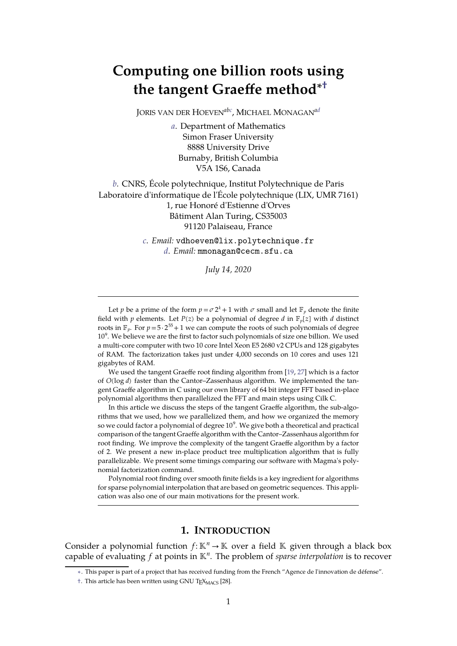# **Computing one billion roots using the tangent Graeffe method ∗†**

JORIS VAN DER HOEVEN<sup>abc</sup>, MICHAEL MONAGAN<sup>ad</sup>

*a*. Department of Mathematics Simon Fraser University 8888 University Drive Burnaby, British Columbia V5A 1S6, Canada

*b*. CNRS, École polytechnique, Institut Polytechnique de Paris Laboratoire d'informatique de l'École polytechnique (LIX, UMR 7161) 1, rue Honoré d'Estienne d'Orves Bâtiment Alan Turing, CS35003 91120 Palaiseau, France

> *c*. *Email:* vdhoeven@lix.polytechnique.fr *d*. *Email:* mmonagan@cecm.sfu.ca

> > *July 14, 2020*

Let *p* be a prime of the form  $p = \sigma 2^k + 1$  with  $\sigma$  small and let  $\mathbb{F}_p$  denote the finite field with *p* elements. Let *P*(*z*) be a polynomial of degree *d* in  $\mathbb{F}_p[z]$  with *d* distinct roots in  $\mathbb{F}_p$ . For  $p=5\cdot 2^{55}+1$  we can compute the roots of such polynomials of degree 10 9 . We believe we are the first to factor such polynomials of size one billion. We used a multi-core computer with two 10 core Intel Xeon E5 2680 v2 CPUs and 128 gigabytes of RAM. The factorization takes just under 4,000 seconds on 10 cores and uses 121 gigabytes of RAM.

We used the tangent Graeffe root finding algorithm from [[19](#page-22-0), [27\]](#page-22-1) which is a factor of *O*(log *d*) faster than the Cantor–Zassenhaus algorithm. We implemented the tan gent Graeffe algorithm in C using our own library of 64 bit integer FFT based in-place polynomial algorithms then parallelized the FFT and main steps using Cilk C.

In this article we discuss the steps of the tangent Graeffe algorithm, the sub-algo rithms that we used, how we parallelized them, and how we organized the memory so we could factor a polynomial of degree  $10^9\!\!.$  We give both a theoretical and practical comparison of the tangent Graeffe algorithm with the Cantor–Zassenhaus algorithm for root finding. We improve the complexity of the tangent Graeffe algorithm by a factor of 2. We present a new in-place product tree multiplication algorithm that is fully parallelizable. We present some timings comparing our software with Magma's poly nomial factorization command.

Polynomial root finding over smooth finite fields is a key ingredient for algorithms for sparse polynomial interpolation that are based on geometric sequences. This appli cation was also one of our main motivations for the present work.

## **1. INTRODUCTION**

Consider a polynomial function  $f: \mathbb{K}^n \to \mathbb{K}$  over a field  $\mathbb{K}$  given through a black box capable of evaluating f at points in  $\mathbb{K}^n$ . The problem of *sparse interpolation* is to recover

<sup>∗</sup>. This paper is part of a project that has received funding from the French "Agence de l'innovation de défense".

<sup>†.</sup> This article has been written using GNU T<sub>E</sub>X<sub>MACS</sub> [\[28\]](#page-22-2).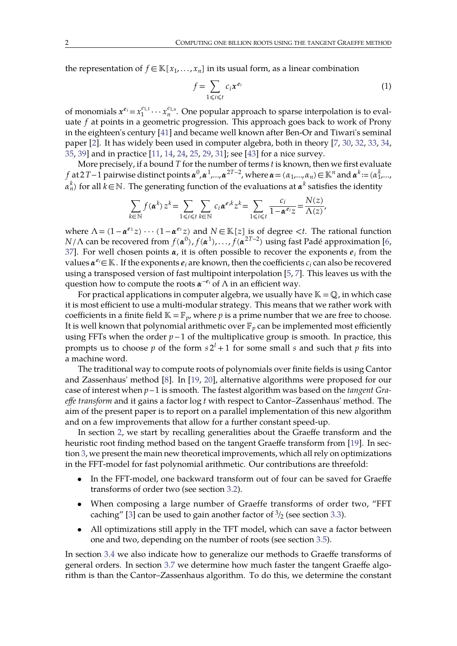the representation of  $f \in K[x_1, \ldots, x_n]$  in its usual form, as a linear combination

$$
f = \sum_{1 \le i \le t} c_i x^{e_i} \tag{1}
$$

of monomials  $x^{e_i} = x_1^{e_{1,1}} \cdots x_n^{e_{1,n}}$ . One popular approach to sparse interpolation is to evaluate *f* at points in a geometric progression. This approach goes back to work of Prony in the eighteen's century [\[41\]](#page-23-0) and became well known after Ben-Or and Tiwari's seminal paper [[2\]](#page-21-0). It has widely been used in computer algebra, both in theory [\[7,](#page-21-1) [30,](#page-22-3) [32](#page-22-4), [33,](#page-22-5) [34,](#page-22-6) [35](#page-22-7), 39] and in practice [\[11,](#page-21-2) 14, [24,](#page-22-10) 25, [29,](#page-22-12) 31]; see [\[43\]](#page-23-1) for <sup>a</sup> nice survey.More precisely, if <sup>a</sup> bound *<sup>T</sup>* forthe number of terms *<sup>t</sup>* is known, then we first evaluate

*f* at 2*T*−1 pairwise distinct points  $\alpha^0$ ,  $\alpha^1$ ,…, $\alpha^{2T-2}$ , where  $\alpha = (\alpha_1, ..., \alpha_n) \in \mathbb{K}^n$  and  $\alpha^k$ := ( $\alpha_1^k$ ,…, *<sup>n</sup> <sup>k</sup>*) for all *k*∈ℕ. The generating function of the evaluations at *<sup>k</sup>* satisfies the identity

$$
\sum_{k \in \mathbb{N}} f(\boldsymbol{\alpha}^k) z^k = \sum_{1 \leq i \leq t} \sum_{k \in \mathbb{N}} c_i \boldsymbol{\alpha}^{e_i k} z^k = \sum_{1 \leq i \leq t} \frac{c_i}{1 - \boldsymbol{\alpha}^{e_i} z} = \frac{N(z)}{\Lambda(z)},
$$

where  $\Lambda = (1 - \alpha^{e_1} z) \cdots (1 - \alpha^{e_t} z)$  and  $N \in \mathbb{K}[z]$  is of degree  $\lt t$ . The rational function *N* / Λ can be recovered from *f* (α<sup>0</sup>), *f* (α<sup>1</sup>),…, *f* (α<sup>2T−2</sup>) using fast Padé approximation [[6,](#page-21-3) [37](#page-22-14)]. For well chosen points  $\alpha$ , it is often possible to recover the exponents  $e_i$  from the values  $\pmb{\alpha}^{e_i}$  $\in$   $\mathbb K$  . If the exponents  $e_i$  are known, then the coefficients  $c_i$  can also be recovered using a transposed version of fast multipoint interpolation [\[5,](#page-21-4) [7](#page-21-1)]. This leaves us with the question how to compute the roots  $\alpha^{-e_i}$  of  $\Lambda$  in an efficient way.

For practical applications in computer algebra, we usually have  $\mathbb{K} = \mathbb{Q}$ , in which case it is most efficient to use a multi-modular strategy. This means that we rather work with coefficients in a finite field  $K = F_p$ , where *p* is a prime number that we are free to choose. It is well known that polynomial arithmetic over  $\mathbb{F}_p$  can be implemented most efficiently using FFTs when the order *p*−1 of the multiplicative group is smooth. In practice, this prompts us to choose  $p$  of the form  $s2^l + 1$  for some small  $s$  and such that  $p$  fits into a machine word.

The traditional way to compute roots of polynomials over finite fields is using Cantor and Zassenhaus' method [\[8](#page-21-5)]. In [[19,](#page-22-0) [20](#page-22-15)], alternative algorithms were proposed for our case of interest when *p*−1 is smooth. The fastest algorithm was based on the*tangent Gra effe transform* and it gains a factor log *t* with respect to Cantor–Zassenhaus' method. The aim of the present paper is to report on a parallel implementation of this new algorithm and on a few improvements that allow for a further constant speed-up.

In section [2,](#page-2-0) we start by recalling generalities about the Graeffe transform and the heuristic root finding method based on the tangent Graeffe transform from [\[19\]](#page-22-0). In sec-tion [3,](#page-5-0) we present the main new theoretical improvements, which all rely on optimizations in theFFT-model for fast polynomial arithmetic. Our contributions are threefold:

- In the FFT-model, one backward transform out of four can be saved for Graeffe transforms of order two (see section [3.2\)](#page-6-0).
- When composing a large number of Graeffe transforms of order two, "FFT caching" [\[3\]](#page-21-6) can be used to gain another factor of  $\frac{3}{2}$  (see section [3.3\)](#page-7-0).
- All optimizations still apply in the TFT model, which can save a factor between one and two, depending on the number of roots (see section [3.5\)](#page-9-0).

In section [3.4](#page-8-0) we also indicate how to generalize our methods to Graeffe transforms of general orders. In section [3.7](#page-10-0) we determine how much faster the tangent Graeffe algo rithm is than theCantor–Zassenhaus algorithm. To do this, we determine the constant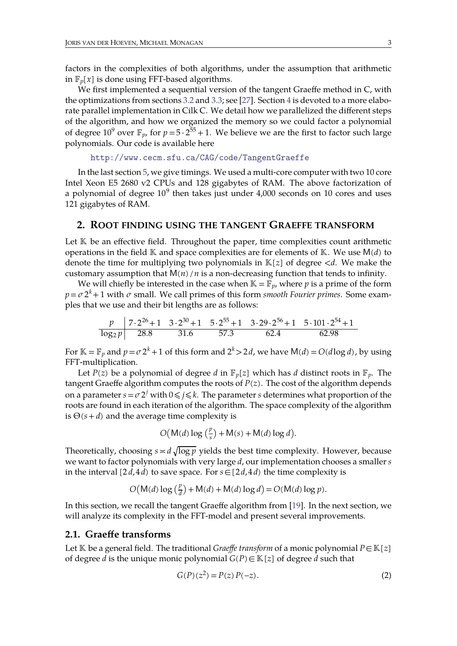factors in the complexities of both algorithms, under the assumption that arithmetic in  $\mathbb{F}_p[x]$  is done using FFT-based algorithms.

We first implemented a sequential version of the tangent Graeffe method in C, with the optimizations from sections [3.2](#page-6-0) and [3.3;](#page-7-0) see [\[27\]](#page-22-1). Section [4](#page-12-0) is devoted to amore elabo rate parallel implementation in Cilk C. We detail how we parallelized the different steps of the algorithm, and how we organized the memory so we could factor a polynomial of degree  $10^9$  over  $\mathbb{F}_p$ , for  $p = 5 \cdot 2^{55} + 1$ . We believe we are the first to factor such large polynomials. Our code is available here

```
http://www.cecm.sfu.ca/CAG/code/TangentGraeffe
```
In the last section [5,](#page-17-0) we give timings. We used a multi-core computer with two 10 core Intel Xeon E5 2680 v2 CPUs and 128 gigabytes of RAM. The above factorization of a polynomial of degree 10<sup>9</sup> then takes just under 4,000 seconds on 10 cores and uses 121 gigabytes of RAM.

## **2. ROOT FINDING USING THE TANGENT GRAEFFE TRANSFORM**

Let  $K$  be an effective field. Throughout the paper, time complexities count arithmetic operations in the field  $K$  and space complexities are for elements of  $K$ . We use  $M(d)$  to denote the time for multiplying two polynomials in  $K[z]$  of degree  $\langle d$ . We make the customary assumption that  $M(n)/n$  is a non-decreasing function that tends to infinity.

We will chiefly be interested in the case when  $K = F_p$ , where *p* is a prime of the form  $p = \sigma 2^{k} + 1$  with  $\sigma$  small. We call primes of this form *smooth Fourier primes*. Some examples that we use and their bit lengths are as follows:

<span id="page-2-0"></span>
$$
\frac{p}{\log_2 p} \quad \frac{7 \cdot 2^{26} + 1}{28.8} \quad \frac{3 \cdot 2^{30} + 1}{31.6} \quad \frac{5 \cdot 2^{55} + 1}{57.3} \quad \frac{3 \cdot 29 \cdot 2^{56} + 1}{62.4} \quad \frac{5 \cdot 101 \cdot 2^{54} + 1}{62.98}
$$

For  $\mathbb{K} = \mathbb{F}_p$  and  $p = \sigma 2^k + 1$  of this form and  $2^k > 2d$ , we have  $\mathsf{M}(d) = O(d \log d)$ , by using FFT-multiplication.

Let *P*(*z*) be a polynomial of degree *d* in  $\mathbb{F}_p[z]$  which has *d* distinct roots in  $\mathbb{F}_p$ . The tangent Graeffe algorithm computes the roots of *P*(*z*). The cost of the algorithm depends on a parameter  $s$  =  $\sigma$  2 $^j$  with  $0$   $\leqslant$   $j$   $\leqslant$   $k$ . The parameter  $s$  determines what proportion of the roots are found in each iteration of the algorithm. The space complexity of the algorithm is  $\Theta(s+d)$  and the average time complexity is

$$
O(M(d)\log\left(\frac{p}{s}\right) + M(s) + M(d)\log d).
$$

Theoretically, choosing  $s \approx d \sqrt{\log p}$  yields the best time complexity. However, because we want to factor polynomials with very large *d*, our implementation chooses a smaller *s* in the interval  $[2d, 4d)$  to save space. For  $s \in [2d, 4d)$  the time complexity is

$$
O(M(d)\log\left(\frac{p}{d}\right) + M(d) + M(d)\log d) = O(M(d)\log p).
$$

In this section, we recall the tangent Graeffe algorithm from [\[19\]](#page-22-0). In the next section, we will analyze its complexity in the FFT-model and present several improvements.

#### **2.1. Graeffe transforms**

Let  $K$  be a general field. The traditional *Graeffe transform* of a monic polynomial  $P \in K[z]$ of degree *d* is the unique monic polynomial  $G(P) \in \mathbb{K}[z]$  of degree *d* such that

<span id="page-2-1"></span>
$$
G(P)(z^2) = P(z) P(-z).
$$
 (2)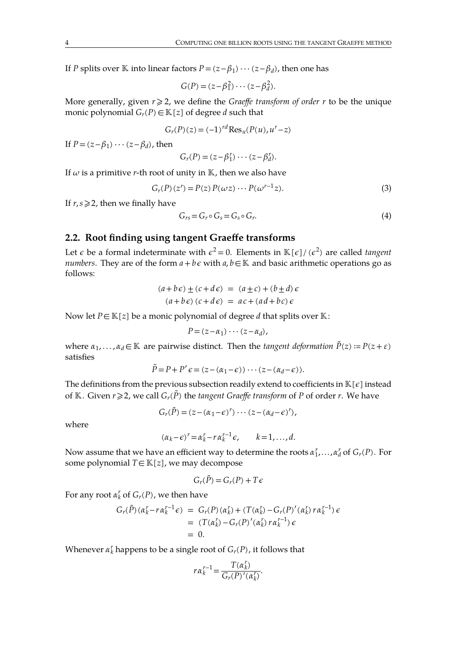If *P* splits over K into linear factors  $P = (z - \beta_1) \cdots (z - \beta_d)$ , then one has

$$
G(P) = (z - \beta_1^2) \cdots (z - \beta_d^2).
$$

More generally, given  $r \geq 2$ , we define the *Graeffe transform of order*  $r$  to be the unique monic polynomial  $G_r(P) \in \mathbb{K}[z]$  of degree *d* such that

$$
G_r(P)(z) = (-1)^{rd} \text{Res}_u(P(u), u^r - z)
$$

If  $P = (z - \beta_1) \cdots (z - \beta_d)$ , then

$$
G_r(P) = (z - \beta_1^r) \cdots (z - \beta_d^r).
$$

If  $\omega$  is a primitive *r*-th root of unity in  $\mathbb{K}$ , then we also have

$$
G_r(P)(z^r) = P(z) P(\omega z) \cdots P(\omega^{r-1} z). \tag{3}
$$

If  $r, s \geq 2$ , then we finally have

<span id="page-3-0"></span>
$$
G_{rs} = G_r \circ G_s = G_s \circ G_r. \tag{4}
$$

## **2.2. Root finding using tangent Graeffe transforms**

Let  $\epsilon$  be a formal indeterminate with  $\epsilon^2 = 0$ . Elements in  $\mathbb{K}[\epsilon]/(\epsilon^2)$  are called *tangent numbers*. They are of the form  $a + b\epsilon$  with  $a, b \in \mathbb{K}$  and basic arithmetic operations go as follows:

$$
(a+b\epsilon) \pm (c+d\epsilon) = (a\pm c) + (b\pm d)\epsilon
$$
  

$$
(a+b\epsilon)(c+d\epsilon) = ac + (ad+bc)\epsilon
$$

Now let  $P \in \mathbb{K}[z]$  be a monic polynomial of degree *d* that splits over  $\mathbb{K}$ :

$$
P=(z-\alpha_1)\cdots(z-\alpha_d),
$$

where  $\alpha_1, \ldots, \alpha_d \in \mathbb{K}$  are pairwise distinct. Then the *tangent deformation*  $\tilde{P}(z) := P(z + \varepsilon)$ satisfies

$$
\tilde{P} = P + P' \epsilon = (z - (\alpha_1 - \epsilon)) \cdots (z - (\alpha_d - \epsilon)).
$$

The definitions from the previous subsection readily extend to coefficients in  $\mathbb{K}[\epsilon]$  instead of K. Given  $r \ge 2$ , we call  $G_r(\tilde{P})$  the *tangent Graeffe transform* of P of order r. We have

$$
G_r(\tilde{P})=(z-(\alpha_1-\epsilon)^r)\cdots(z-(\alpha_d-\epsilon)^r),
$$

where

$$
(\alpha_k - \epsilon)^r = \alpha_k^r - r \alpha_k^{r-1} \epsilon, \qquad k = 1, \ldots, d.
$$

Now assume that we have an efficient way to determine the roots  $\alpha_1^r, \ldots, \alpha_d^r$  of  $G_r(P).$  For some polynomial  $T \in \mathbb{K}[z]$ , we may decompose

$$
G_r(\tilde{P}) = G_r(P) + T\epsilon
$$

For any root  $\alpha_k^r$  of  $G_r(P)$ , we then have

$$
G_r(\tilde{P})(\alpha_k^r - r\alpha_k^{r-1}\epsilon) = G_r(P)(\alpha_k^r) + (T(\alpha_k^r) - G_r(P)^\prime(\alpha_k^r) r\alpha_k^{r-1})\epsilon
$$
  
= 
$$
(T(\alpha_k^r) - G_r(P)^\prime(\alpha_k^r) r\alpha_k^{r-1})\epsilon
$$
  
= 0.

Whenever  $\alpha_k^r$  happens to be a single root of  $G_r(P)$ , it follows that

$$
r \alpha_k^{r-1} = \frac{T(\alpha_k^r)}{G_r(P)'(\alpha_k^r)}.
$$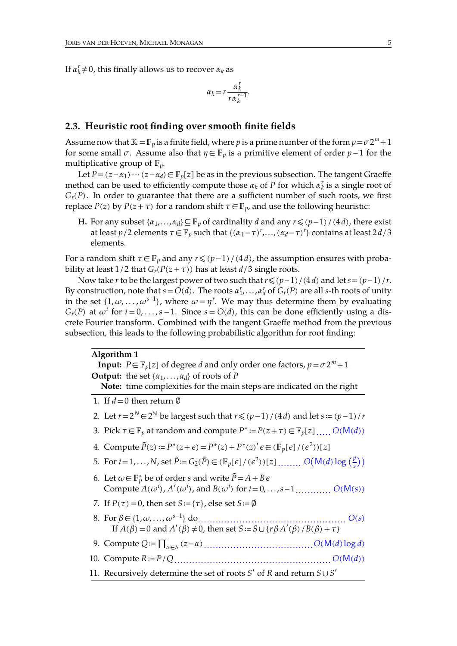If  $\alpha_k^r \neq 0$ , this finally allows us to recover  $\alpha_k$  as

$$
\alpha_k = r \frac{\alpha_k^r}{r \alpha_k^{r-1}}.
$$

#### **2.3. Heuristic root finding over smooth finite fields**

Assume now that  $K = F_p$  is a finite field, where *p* is a prime number of the form  $p = \sigma 2^m + 1$ for some small  $\sigma$ . Assume also that  $\eta \in \mathbb{F}_p$  is a primitive element of order  $p-1$  for the multiplicative group of  $\mathbb{F}_p$ .

Let  $P = (z - \alpha_1) \cdots (z - \alpha_d)$  ∈  $\mathbb{F}_p[z]$  be as in the previous subsection. The tangent Graeffe method can be used to efficiently compute those  $\alpha_k$  of P for which  $\alpha'_k$  is a single root of  $G_r(P)$ . In order to guarantee that there are a sufficient number of such roots, we first replace *P*(*z*) by *P*(*z* + *τ*) for a random shift  $\tau \in \mathbb{F}_p$ , and use the following heuristic:

**H.** For any subset  $\{\alpha_1, ..., \alpha_d\}$ ⊆ $\mathbb{F}_p$  of cardinality *d* and any  $r \leq (p-1)/(4d)$ , there exist at least *p*/2 elements  $\tau$ ∈  $\mathbb{F}_p$  such that {( $\alpha_1 - \tau$ )<sup>r</sup>,..., ( $\alpha_d - \tau$ )<sup>r</sup>} contains at least 2*d*/3 elements.

For a random shift  $\tau \in \mathbb{F}_p$  and any  $r \leq (p-1)/(4d)$ , the assumption ensures with probability at least  $1/2$  that  $G_r(P(z+\tau))$  has at least  $d/3$  single roots.

Now take *r* to be the largest power of two such that*r*⩽(*p*−1)/(4*d*) and let*s*=(*p*−1)/*r*. By construction, note that  $\vec{s} = O(d)$ . The roots  $\alpha_1^r, \ldots, \alpha_d^r$  of  $G_r(P)$  are all *s*-th roots of unity in the set  $\{1, \omega, \ldots, \omega^{s-1}\}$ , where  $\omega = \eta^r$ . We may thus determine them by evaluating  $G_r(P)$  at  $\omega^i$  for  $i = 0, \ldots, s - 1$ . Since  $s = O(d)$ , this can be done efficiently using a discrete Fourier transform. Combined with the tangent Graeffe method from the previous subsection, this leads to the following probabilistic algorithm for root finding:

#### **Algorithm 1**

<span id="page-4-2"></span>**Input:**  $P \in \mathbb{F}_n[z]$  of degree *d* and only order one factors,  $p = \sigma 2^m + 1$ **Output:** the set  $\{\alpha_1, \ldots, \alpha_d\}$  of roots of *P* 

Note: time complexities for the main steps are indicated on the right

- 1. If  $d = 0$  then return Ø
- 2. Let  $r=2^N\in 2^N$  be largest such that  $r\leq (p-1)/(4d)$  and let  $s=(p-1)/r$
- <span id="page-4-3"></span>3. Pick  $\tau \in \mathbb{F}_p$  at random and compute  $P^* := P(z + \tau) \in \mathbb{F}_p[z]$  .....  $O(M(d))$
- 4. Compute  $\tilde{P}(z) := P^*(z+\epsilon) = P^*(z) + P^*(z)' \epsilon \in (\mathbb{F}_p[\epsilon]/(\epsilon^2))[z]$
- <span id="page-4-0"></span>5. For  $i = 1,..., N$ , set  $\tilde{P} := G_2(\tilde{P}) \in (\mathbb{F}_p[\epsilon]/(\epsilon^2))[\epsilon]$  .......  $O(M(d) \log(\frac{p}{s}))$
- <span id="page-4-1"></span>6. Let  $\omega$ ∈  $\mathbb{F}_p^*$  be of order *s* and write  $\tilde{P} = A + B \epsilon$ Compute  $A(\omega^i)$ ,  $A'(\omega^i)$ , and  $B(\omega^i)$  for  $i = 0, ..., s-1, ..., S( M(s))$
- 7. If  $P(\tau) = 0$ , then set  $S = \{\tau\}$ , else set  $S := \emptyset$
- 8. For ∈{1,, . . ., *<sup>s</sup>*−1} do.................................................. *O*(*s*) If  $A(\beta)=0$  and  $A'(\beta)\neq 0$ , then set  $S:=S\cup\{r\beta A'(\beta)/B(\beta)+\tau\}$
- <span id="page-4-4"></span>9. Compute *Q*≔∏∈*<sup>S</sup>* (*z*−) .....................................*O*(M(*d*) log *d*)
- <span id="page-4-5"></span>10. Compute *R*≔*P*/*Q*..................................................... *O*(M(*d*))
- <span id="page-4-6"></span>11. Recursively determine the set of roots *S*′ of *R* and return *S*∪*S*′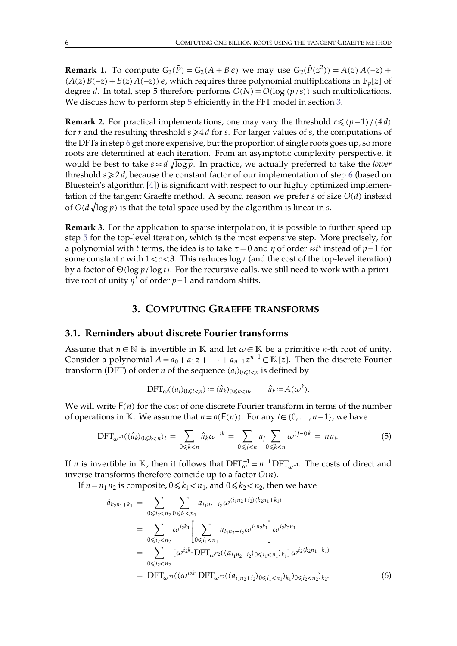**Remark 1.** To compute  $G_2(\tilde{P}) = G_2(A + B\epsilon)$  we may use  $G_2(\tilde{P}(z^2)) = A(z) A(-z) +$  $(A(z)B(-z) + B(z)A(-z))\epsilon$ , which requires three polynomial multiplications in  $\mathbb{F}_n[z]$  of degree *d*. In total, step 5 therefore performs  $O(N) = O(\log(p/s))$  such multiplications. We discuss how to perform step [5](#page-4-0) efficiently in the FFT model in section [3](#page-5-0).

**Remark 2.** For practical implementations, one may vary the threshold  $r \leq (p-1)/(4d)$ for *r* and the resulting threshold  $s \geq 4d$  for *s*. For larger values of *s*, the computations of the DFTs in step [6](#page-4-1) get more expensive, but the proportion of single roots goes up, so more roots are determined at each iteration. From an asymptotic complexity perspective, it would be best to take  $s \approx d \sqrt{\log p}$ . In practice, we actually preferred to take the *lower* threshold  $s \geq 2d$ , because the constant factor of our implementation of step [6](#page-4-1) (based on Bluestein's algorithm [\[4](#page-21-7)]) is significant with respect to our highly optimized implementation of the tangent Graeffe method. A second reason we prefer  $s$  of size  $O(d)$  instead of  $O(d\sqrt{\log p})$  is that the total space used by the algorithm is linear in *s*.

**Remark 3.** For the application to sparse interpolation, it is possible to further speed up step [5](#page-4-0) for the top-level iteration, which is the most expensive step. More precisely, for a polynomial with *t* terms, the idea is to take  $\tau = 0$  and  $\eta$  of order ≈*t<sup>c</sup>* instead of  $p-1$  for some constant  $c$  with  $1 < c < 3$ . This reduces  $\log r$  (and the cost of the top-level iteration) by a factor of Θ(log *p*/log *t*). For the recursive calls, we still need to work with a primitive root of unity  $\eta'$  of order  $p-1$  and random shifts.

## **3. COMPUTING GRAEFFE TRANSFORMS**

## **3.1. Reminders about discrete Fourier transforms**

Assume that  $n \in \mathbb{N}$  is invertible in  $\mathbb{K}$  and let  $\omega \in \mathbb{K}$  be a primitive *n*-th root of unity. Consider a polynomial  $A = a_0 + a_1 z + \cdots + a_{n-1} z^{n-1} \in \mathbb{K}[z]$ . Then the discrete Fourier transform (DFT) of order *n* of the sequence  $(a_i)_{0 \le i \le n}$  is defined by

<span id="page-5-0"></span>
$$
\text{DFT}_{\omega}((a_i)_{0\leq i
$$

We will write  $F(n)$  for the cost of one discrete Fourier transform in terms of the number of operations in K. We assume that  $n = o(F(n))$ . For any  $i \in \{0, ..., n-1\}$ , we have

$$
DFT_{\omega^{-1}}((\hat{a}_k)_{0\leq k < n})_i = \sum_{0\leq k < n} \hat{a}_k \omega^{-ik} = \sum_{0\leq j < n} a_j \sum_{0\leq k < n} \omega^{(j-i)k} = na_i. \tag{5}
$$

If *n* is invertible in K, then it follows that  $DFT_{\omega}^{-1} = n^{-1} DFT_{\omega^{-1}}$ . The costs of direct and inverse transforms therefore coincide up to a factor  $O(n)$ .

If  $n = n_1 n_2$  is composite,  $0 \le k_1 < n_1$ , and  $0 \le k_2 < n_2$ , then we have

<span id="page-5-1"></span>
$$
\hat{a}_{k_{2}n_{1}+k_{1}} = \sum_{0 \leq i_{2} < n_{2}} \sum_{0 \leq i_{1} < n_{1}} a_{i_{1}n_{2}+i_{2}} \omega^{(i_{1}n_{2}+i_{2})(k_{2}n_{1}+k_{1})}
$$
\n
$$
= \sum_{0 \leq i_{2} < n_{2}} \omega^{i_{2}k_{1}} \left[ \sum_{0 \leq i_{1} < n_{1}} a_{i_{1}n_{2}+i_{2}} \omega^{i_{1}n_{2}k_{1}} \right] \omega^{i_{2}k_{2}n_{1}}
$$
\n
$$
= \sum_{0 \leq i_{2} < n_{2}} \left[ \omega^{i_{2}k_{1}} \text{DFT}_{\omega^{n_{2}}}(a_{i_{1}n_{2}+i_{2}})_{0 \leq i_{1} < n_{1}} \right] \omega^{i_{2}(k_{2}n_{1}+k_{1})}
$$
\n
$$
= \text{DFT}_{\omega^{n_{1}}}((\omega^{i_{2}k_{1}} \text{DFT}_{\omega^{n_{2}}}(a_{i_{1}n_{2}+i_{2}})_{0 \leq i_{1} < n_{1}})_{k_{1}})_{0 \leq i_{2} < n_{2}})_{k_{2}}.
$$
\n
$$
(6)
$$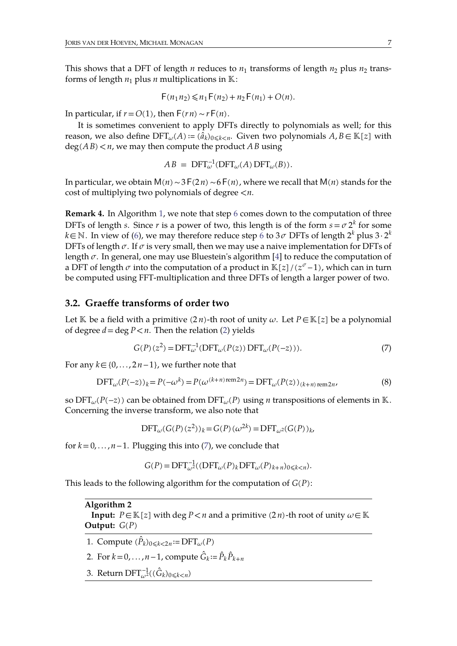This shows that a DFT of length *n* reduces to  $n_1$  transforms of length  $n_2$  plus  $n_2$  transforms of length  $n_1$  plus  $n$  multiplications in  $\mathbb{K}$ :

$$
F(n_1 n_2) \le n_1 F(n_2) + n_2 F(n_1) + O(n).
$$

In particular, if  $r = O(1)$ , then  $F(rn) \sim rF(n)$ .

It is sometimes convenient to apply DFTs directly to polynomials as well; for this reason, we also define  $\text{DFT}_{\omega}(A) := (\hat{a}_k)_{0 \le k \le n}$ . Given two polynomials  $A, B \in \mathbb{K}[z]$  with  $deg(A B) < n$ , we may then compute the product  $\overline{AB}$  using

$$
AB = DFT_{\omega}^{-1}(DFT_{\omega}(A) DFT_{\omega}(B)).
$$

In particular, we obtain M(*n*)∼3F(2*n*)∼6F(*n*), where we recall that M(*n*) stands for the cost of multiplying two polynomials of degree <*n*.

**Remark 4.** In Algorithm [1,](#page-4-2) we note that step [6](#page-4-1) comes down to the computation of three DFTs of length *s*. Since *r* is a power of two, this length is of the form  $s = \sigma 2^k$  for some *k*∈ℕ. In view of ([6\)](#page-5-1), we may therefore reduce step [6](#page-4-1) to 3  $\sigma$  DFTs of length 2<sup>k</sup> plus 3 ⋅ 2<sup>k</sup> *k* DFTs of length  $\sigma$ . If  $\sigma$  is very small, then we may use a naive implementation for DFTs of length  $\sigma$ . In general, one may use Bluestein's algorithm [\[4\]](#page-21-7) to reduce the computation of a DFT of length  $\sigma$  into the computation of a product in  $\mathbb{K}[z]/(z^{\sigma}-1)$ , which can in turn be computed using FFT-multiplication and three DFTs of length a larger power of two.

#### **3.2. Graeffe transforms of order two**

Let K be a field with a primitive  $(2n)$ -th root of unity  $\omega$ . Let  $P \in K[z]$  be a polynomial of degree  $d = \deg P < n$ . Then the relation [\(2](#page-2-1)) yields

<span id="page-6-1"></span><span id="page-6-0"></span>
$$
G(P)(z2) = DFT\omega-1(DFT\omega(P(z)) DFT\omega(P(-z))).
$$
\n(7)

For any  $k \in \{0, \ldots, 2n-1\}$ , we further note that

<span id="page-6-3"></span>
$$
\text{DFT}_{\omega}(P(-z))_k = P(-\omega^k) = P(\omega^{(k+n)\text{ rem2}n}) = \text{DFT}_{\omega}(P(z))_{(k+n)\text{ rem2}n},\tag{8}
$$

so  $DFT_{\omega}(P(-z))$  can be obtained from  $DFT_{\omega}(P)$  using *n* transpositions of elements in K. Concerning the inverse transform, we also note that

$$
DFT_{\omega}(G(P)(z^2))_k = G(P)(\omega^{2k}) = DFT_{\omega^2}(G(P))_k,
$$

for  $k=0, \ldots, n-1$ . Plugging this into ([7\)](#page-6-1), we conclude that

$$
G(P) = DFT_{\omega^2}^{-1}((DFT_{\omega}(P)_kDTT_{\omega}(P)_{k+n})_{0 \le k < n}).
$$

This leads to the following algorithm for the computation of *G*(*P*):

#### **Algorithm 2**

<span id="page-6-2"></span>**Input:**  $P \in \mathbb{K}[z]$  with deg  $P \le n$  and a primitive (2*n*)-th root of unity  $\omega \in \mathbb{K}$ **Output:**  $G(P)$ 

- 1. Compute  $(\hat{P}_k)_{0 \leq k < 2n} := \text{DFT}_{\omega}(P)$
- 2. For  $k = 0, \ldots, n-1$ , compute  $\hat{G}_k = \hat{P}_k \hat{P}_{k+n}$
- 3. Return  $\text{DFT}_{\omega^2}^{-1}((\hat{G}_k)_{0\leqslant k < n})$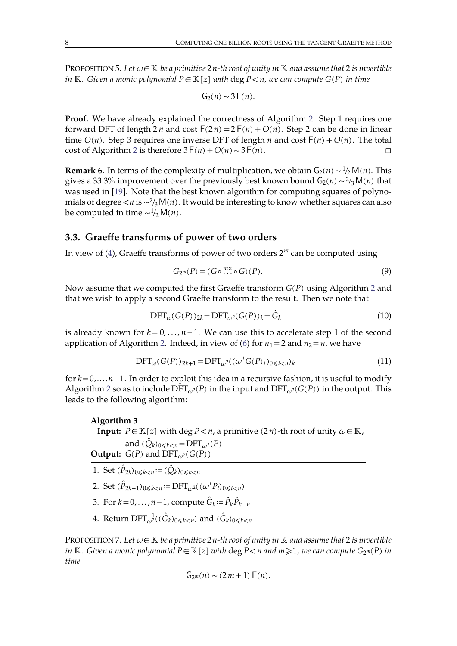PROPOSITION 5. Let  $\omega \in \mathbb{K}$  be a primitive 2*n*-th root of unity in  $\mathbb{K}$  and assume that 2 is invertible *in*  $K$ *. Given a monic polynomial*  $P \in K[z]$  *with* deg  $P < n$ *, we can compute*  $G(P)$  *in time* 

$$
G_2(n) \sim 3F(n).
$$

Proof. We have already explained the correctness of Algorithm [2.](#page-6-2) Step 1 requires one forward DFT of length  $2n$  and cost  $F(2n) = 2F(n) + O(n)$ . Step 2 can be done in linear time  $O(n)$ . Step 3 requires one inverse DFT of length *n* and cost  $F(n) + O(n)$ . The total cost of Algorithm [2](#page-6-2) is therefore  $3F(n)+O(n) \sim 3F(n)$ .

**Remark 6.** In terms of the complexity of multiplication, we obtain  $G_2(n) \sim \frac{1}{2}M(n)$ . This gives a 33.3% improvement over the previously best known bound G<sub>2</sub>(*n*)∼<sup>2</sup>/<sub>3</sub>M(*n*) that was used in [\[19](#page-22-0)]. Note that the best known algorithm for computing squares of polyno mials of degree <*n* is ~<sup>2</sup>/3M(*n*). It would be interesting to know whether squares can also be computed in time  $\sim$ <sup>1</sup>/2 M(*n*).

#### **3.3. Graeffe transforms of power of two orders**

In view of [\(4\)](#page-3-0), Graeffe transforms of power of two orders 2*<sup>m</sup>* can be computed using

<span id="page-7-2"></span><span id="page-7-0"></span>
$$
G_{2^m}(P) = (G \circ \cdots \circ G)(P). \tag{9}
$$

Now assume that we computed the first Graeffe transform  $G(P)$  using Algorithm [2](#page-6-2) and that we wish to apply a second Graeffe transform to the result. Then we note that

<span id="page-7-4"></span>
$$
\text{DFT}_{\omega}(G(P))_{2k} = \text{DFT}_{\omega^2}(G(P))_k = \hat{G}_k
$$
\n(10)

is already known for  $k = 0, \ldots, n-1$ . We can use this to accelerate step 1 of the second application of Algorithm [2.](#page-6-2) Indeed, in view of [\(6\)](#page-5-1) for  $n_1 = 2$  and  $n_2 = n$ , we have

$$
\text{DFT}_{\omega}(G(P))_{2k+1} = \text{DFT}_{\omega^2}((\omega^i G(P)_i)_{0 \leq i < n})_k \tag{11}
$$

for *k*=0,...,*n*−1. In order to exploit this idea in a recursive fashion, it is useful to modify Algorithm [2](#page-6-2) so as to include  $\text{DFT}_{\omega^2}(P)$  in the input and  $\text{DFT}_{\omega^2}(G(P))$  in the output. This leads to the following algorithm:

<span id="page-7-1"></span>**Algorithm 3 Input:**  $P \in \mathbb{K}[z]$  with deg  $P < n$ , a primitive (2*n*)-th root of unity  $\omega \in \mathbb{K}$ , and  $(\hat{Q}_k)_{0 \leq k < n} = \text{DFT}_{\omega^2}(P)$ **Output:**  $G(P)$  and  $DFT_{\alpha^2}(G(P))$ 1. Set  $(\hat{P}_{2k})_{0 \le k < n} := (\hat{Q}_k)_{0 \le k < n}$ 2. Set  $(\hat{P}_{2k+1})_{0 \le k \le n} := \text{DFT}_{\omega^2}((\omega^i P_i)_{0 \le i \le n})$ 3. For  $k = 0, \ldots, n-1$ , compute  $\hat{G}_k := \hat{P}_k \hat{P}_{k+n}$ 4. Return  $\text{DFT}_{\omega^2}^{-1}((\hat{G}_k)_{0\leqslant k < n})$  and  $(\hat{G}_k)_{0\leqslant k < n}$ 

<span id="page-7-3"></span>PROPOSITION 7. Let  $\omega \in \mathbb{K}$  be a primitive 2*n*-th root of unity in  $\mathbb{K}$  and assume that 2 is invertible in K. Given a monic polynomial  $P \in K[z]$  with  $\deg P \le n$  and  $m \ge 1$ , we can compute  $G_{2^m}(P)$  in *time*

$$
G_{2^m}(n) \sim (2m+1) F(n).
$$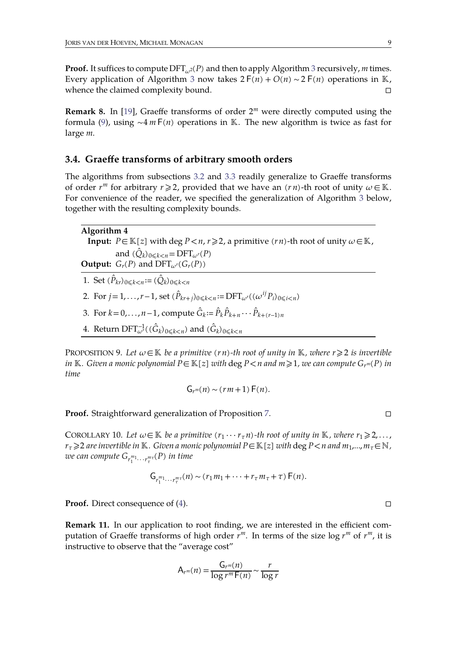**Proof.** It suffices to compute  $\text{DFT}_{\omega^2}(P)$  and then to apply Algorithm [3](#page-7-1) recursively, *m* times. Every application of Algorithm [3](#page-7-1) now takes  $2F(n) + O(n) \sim 2F(n)$  operations in K, whence the claimed complexity bound.  $\Box$ 

**Remark 8.** In [\[19\]](#page-22-0), Graeffe transforms of order 2*<sup>m</sup>* were directly computed using the formula ([9\)](#page-7-2), using ~4 *m* F(*n*) operations in K. The new algorithm is twice as fast for large *m*.

## **3.4. Graeffe transforms of arbitrary smooth orders**

The algorithms from subsections [3.2](#page-6-0) and [3.3](#page-7-0) readily generalize to Graeffe transforms of order  $r^m$  for arbitrary  $r \ge 2$ , provided that we have an  $(rn)$ -th root of unity  $\omega \in \mathbb{K}$ . For convenience of the reader, we specified the generalization of Algorithm [3](#page-7-1) below, together with the resulting complexity bounds.

**Algorithm 4 Input:**  $P \in \mathbb{K}[z]$  with deg  $P < n, r \ge 2$ , a primitive (*rn*)-th root of unity  $\omega \in \mathbb{K}$ , and  $(\hat{Q}_k)_{0 \leq k < n} = \text{DFT}_{\omega}(P)$ **Output:**  $G_r(P)$  and  $\text{DFT}_{\omega^r}(G_r(P))$ 1. Set  $(\hat{P}_{kr})_{0 \leq k < n} := (\hat{Q}_k)_{0 \leq k < n}$ 

- 2. For  $j = 1, ..., r 1$ , set  $(\hat{P}_{kr+j})_{0 \le k < n} := \text{DFT}_{\omega^r}((\omega^{ij} P_i)_{0 \le i < n})$
- 3. For  $k = 0, ..., n 1$ , compute  $\hat{G}_k := \hat{P}_k \hat{P}_{k+n} \cdots \hat{P}_{k+(r-1)n}$
- 4. Return  $\text{DFT}_{\omega^r}^{-1}((\hat{G}_k)_{0\leqslant k and  $(\hat{G}_k)_{0\leqslant k$$

PROPOSITION 9. Let  $\omega \in \mathbb{K}$  be a primitive  $(rn)$ -th root of unity in  $\mathbb{K}$ , where  $r \geq 2$  is invertible in K. Given a monic polynomial  $P \in K[z]$  with  $\deg P \le n$  and  $m \ge 1$ , we can compute  $G_{r^m}(P)$  in *time*

<span id="page-8-0"></span>
$$
G_{r^m}(n) \sim (rm+1) F(n).
$$

**Proof.** Straightforward generalization of Proposition [7.](#page-7-3) □

COROLLARY 10. Let  $\omega \in \mathbb{K}$  be a primitive  $(r_1 \cdots r_{\tau} n)$ -th root of unity in  $\mathbb{K}$ , where  $r_1 \geq 2, \ldots$ ,  $r_\tau \geqslant 2$  *are invertible in* K. *Given a monic polynomial*  $P \in K[z]$  *with* deg  $P \leq n$  *and*  $m_1,...,m_\tau \in \mathbb{N}$ ,  $w$ *e can compute*  $G_{r_{1}^{m_{1}}\cdots r_{\tau}^{m_{\tau}}}(P)$  *in time* 

$$
\mathsf{G}_{r_1^{m_1}\cdots r_\tau^{m_\tau}}(n) \sim (r_1m_1+\cdots+r_\tau m_\tau+\tau)\,\mathsf{F}(n).
$$

**Proof.** Direct consequence of ([4\)](#page-3-0). □

**Remark 11.** In our application to root finding, we are interested in the efficient com putation of Graeffe transforms of high order  $r^m$ . In terms of the size  $\log r^m$  of  $r^m$ , it is instructive to observe that the "average cost"

$$
A_{r^m}(n) = \frac{G_{r^m}(n)}{\log r^m \mathsf{F}(n)} \sim \frac{r}{\log r}
$$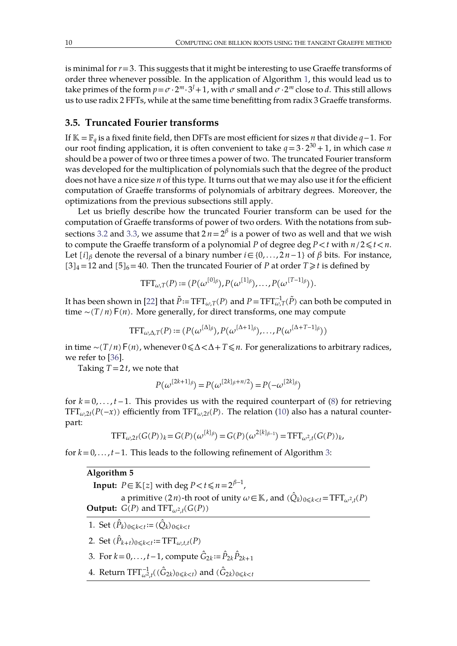is minimal for  $r=3$ . This suggests that it might be interesting to use Graeffe transforms of order three whenever possible. In the application of Algorithm [1,](#page-4-2) this would lead us to take primes of the form  $p = \sigma \cdot 2^m \cdot 3^l + 1$ , with  $\sigma$  small and  $\sigma \cdot 2^m$  close to  $d$ . This still allows us to use radix 2 FFTs, while at the same time benefitting from radix 3 Graeffe transforms.

## **3.5. Truncated Fourier transforms**

If =*<sup>q</sup>* is a fixed finite field, then DFTs are mostefficient for sizes *n* that divide *q*−1. For our root finding application, it is often convenient to take  $q = 3 \cdot 2^{30} + 1$ , in which case *n* should be a power of two or three times a power of two. The truncated Fourier transform was developed for the multiplication of polynomials such that the degree of the product does not have a nice size *n* of this type. It turns out that we may also use it forthe efficient computation of Graeffe transforms of polynomials of arbitrary degrees. Moreover, the optimizations from the previous subsections still apply.

Let us briefly describe how the truncated Fourier transform can be used for the computation of Graeffe transforms of power of two orders. With the notations from sub-sections [3.2](#page-6-0) and [3.3,](#page-7-0) we assume that  $2\,n\!=\!2^\beta$  is a power of two as well and that we wish to compute the Graeffe transform of a polynomial *P* of degree deg  $P \le t$  with  $n/2 \le t \le n$ . Let [*i*]<sub>β</sub> denote the reversal of a binary number *i*∈{0,...,2*n*-1} of β bits. For instance,  $[3]_4$  = 12 and  $[5]_6$  = 40. Then the truncated Fourier of *P* at order *T*  $\geq t$  is defined by

<span id="page-9-0"></span>
$$
\text{TFT}_{\omega,T}(P) \coloneqq (P(\omega^{[0]_\beta}), P(\omega^{[1]_\beta}), \ldots, P(\omega^{[T-1]_\beta})).
$$

It has been shown in [\[22\]](#page-22-16) that  $\tilde{P}$  ≔ TFT $_{\omega,T}(P)$  and  $P$  = TFT $_{\omega,T}^{-1}(\tilde{P})$  can both be computed in time ~(*T*/*n*)F(*n*). More generally, for direct transforms, one may compute

$$
TFT_{\omega,\Delta,T}(P) := (P(\omega^{[\Delta]\beta}), P(\omega^{[\Delta+1]\beta}), \ldots, P(\omega^{[\Delta+T-1]\beta}))
$$

in time ∼(*T*/*n*)F(*n*), whenever 0⩽Δ<Δ+*T*⩽*n*. For generalizations to arbitrary radices, we refer to [[36\]](#page-22-17).

Taking  $T = 2t$ , we note that

$$
P(\omega^{[2k+1]\beta}) = P(\omega^{[2k]\beta + n/2}) = P(-\omega^{[2k]\beta})
$$

for  $k = 0, \ldots, t-1$ . This provides us with the required counterpart of [\(8\)](#page-6-3) for retrieving TFT<sub> $\omega,2t$ </sub>(*P*(−*x*)) efficiently from TFT $_{\omega,2t}$ (*P*). The relation [\(10](#page-7-4)) also has a natural counterpart:

$$
TFT_{\omega,2t}(G(P))_k = G(P)(\omega^{[k]_{\beta}}) = G(P)(\omega^{2[k]_{\beta-1}}) = TFT_{\omega^2,t}(G(P))_k,
$$

for *k*=0, . . .,*t*−1. This leads to the following refinement of Algorithm [3:](#page-7-1)

## **Algorithm 5**

**Input:**  $P \in \mathbb{K}[z]$  with deg  $P < t \leqslant n = 2^{\beta-1}$ ,  $\overline{\phantom{a}}$ 

a primitive (2*n*)-th root of unity  $\omega \in \mathbb{K}$ , and ( $\hat{Q}_k)_{0 \leqslant k < t}$  = TFT $_{\omega^2,t}(P)$ **Output:**  $G(P)$  and  $TFT_{\omega^2,t}(G(P))$ 

- 1. Set  $(\hat{P}_k)_{0 \le k < t} := (\hat{Q}_k)_{0 \le k < t}$
- 2. Set  $(\hat{P}_{k+t})_{0 \le k < t} := \text{TFT}_{\omega, t, t}(P)$
- 3. For  $k = 0, ..., t-1$ , compute  $\hat{G}_{2k} := \hat{P}_{2k} \hat{P}_{2k+1}$
- 4. Return  $\text{TFT}_{\omega^2,t}^{-1}((\hat{G}_{2k})_{0\leqslant k and  $(\hat{G}_{2k})_{0\leqslant k$$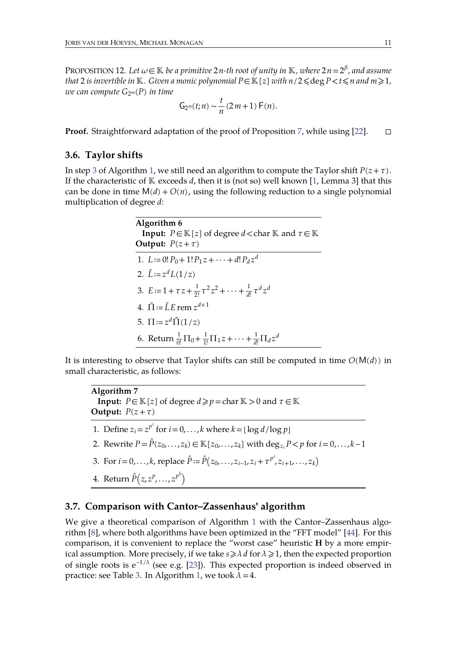<code>PROPOSITION 12. Let  $\omega \! \in \! \mathbb{K}$  be a primitive 2n-th root of unity in  $\mathbb{K}$ , where 2n = 2 $^\beta$ , and assume</code> *that* 2 *is invertible in*  $K$ *. Given a monic polynomial*  $P \in K[z]$  *with*  $n/2 ≤$  deg  $P < t ≤ n$  *and*  $m ≥ 1$ *, we can compute G*2*<sup>m</sup>*(*P*) *in time*

$$
G_{2^m}(t;n) \sim \frac{t}{n} (2m+1) F(n).
$$

**Proof.** Straightforward adaptation of the proof of Proposition [7,](#page-7-3) while using [\[22\]](#page-22-16). □

#### **3.6. Taylor shifts**

In step [3](#page-4-3) of Algorithm [1,](#page-4-2) we still need an algorithm to compute the Taylor shift  $P(z+\tau)$ . If the characteristic of  $K$  exceeds  $d$ , then it is (not so) well known [\[1,](#page-21-8) Lemma 3] that this can be done in time  $M(d) + O(n)$ , using the following reduction to a single polynomial multiplication of degree *d*:

<span id="page-10-1"></span>

| Algorithm 6<br><b>Input:</b> $P \in \mathbb{K}[z]$ of degree $d <$ char $\mathbb{K}$ and $\tau \in \mathbb{K}$ |  |
|----------------------------------------------------------------------------------------------------------------|--|
| Output: $P(z+\tau)$                                                                                            |  |
| 1. $L := 0! P_0 + 1! P_1 z + \cdots + d! P_d z^d$                                                              |  |
| 2. $\tilde{L} := z^d L(1/z)$                                                                                   |  |
| 3. $E := 1 + \tau z + \frac{1}{2!} \tau^2 z^2 + \cdots + \frac{1}{4!} \tau^d z^d$                              |  |
| 4. $\tilde{\Pi} = \tilde{L} E \text{ rem } z^{d+1}$                                                            |  |
| 5. $\Pi = z^d \tilde{\Pi}(1/z)$                                                                                |  |
| 6. Return $\frac{1}{0!}\Pi_0 + \frac{1}{1!}\Pi_1 z + \cdots + \frac{1}{4!}\Pi_d z^d$                           |  |

It is interesting to observe that Taylor shifts can still be computed in time  $O(M(d))$  in small characteristic, as follows:

**Algorithm 7 Input:**  $P \in \mathbb{K}[z]$  of degree  $d \geq p$  = char  $\mathbb{K} > 0$  and  $\tau \in \mathbb{K}$ **Output:**  $P(z+\tau)$ 1. Define  $z_i = z^{p^i}$  for  $i = 0, \ldots, k$  where  $k = \lfloor \log d / \log p \rfloor$ 

- 2. Rewrite  $P = \hat{P}(z_0, \ldots, z_k) \in \mathbb{K}[z_0, \ldots, z_k]$  with deg<sub>*z*</sub></sub> $P < p$  for  $i = 0, \ldots, k-1$
- 3. For  $i = 0, ..., k$ , replace  $\hat{P} := \hat{P}(z_0, ..., z_{i-1}, z_i + \tau^{p^i}, z_{i+1}, ..., z_k)$
- <span id="page-10-0"></span>4. Return  $\hat{P}\big(z, z^p, \ldots, z^{p^k}\big)$ *<sup>k</sup>*

#### **3.7. Comparison with Cantor–Zassenhaus' algorithm**

We give a theoretical comparison of Algorithm [1](#page-4-2) with the Cantor–Zassenhaus algorithm  $[8]$  $[8]$ , where both algorithms have been optimized in the "FFT model"  $[44]$ . For this comparison, it is convenient to replace the "worst case" heuristic **H** by a more empirical assumption. More precisely, if we take  $s \geq \lambda d$  for  $\lambda \geq 1$ , then the expected proportion of single roots is  $e^{-1/\lambda}$  (see e.g. [\[23\]](#page-22-18)). This expected proportion is indeed observed in practice: see Table [3](#page-19-0). In Algorithm [1,](#page-4-2) we took  $\lambda = 4$ .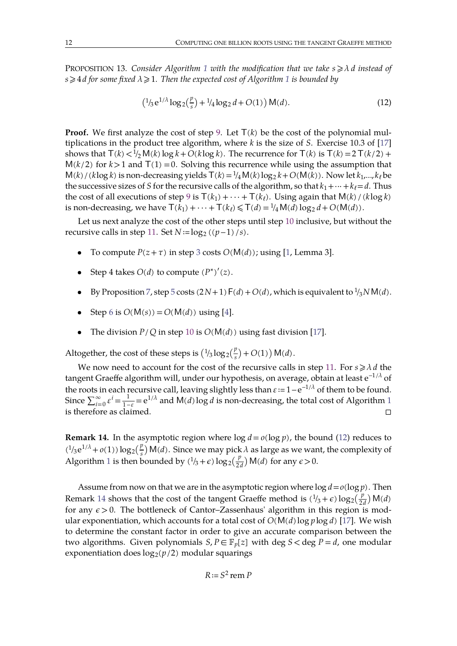PROPOSITION [1](#page-4-2)3. *Consider Algorithm* 1 *with the modification that we take*  $s \geq \lambda d$  *instead of*  $s \geq 4$ *d* for some fixed  $\lambda \geq 1$  $\lambda \geq 1$ . Then the expected cost of Algorithm 1 is bounded by

<span id="page-11-2"></span><span id="page-11-0"></span>
$$
\left(\frac{1}{3}e^{1/\lambda}\log_2(\frac{p}{s}) + \frac{1}{4}\log_2 d + O(1)\right) \mathsf{M}(d). \tag{12}
$$

**Proof.** We first analyze the cost of step [9.](#page-4-4) Let  $T(k)$  be the cost of the polynomial multiplications in the product tree algorithm, where *k* is the size of *S*. Exercise 10.3 of [\[17\]](#page-22-19) shows that  $T(k) < \frac{1}{2}M(k) \log k + O(k \log k)$ . The recurrence for  $T(k)$  is  $T(k) = 2T(k/2) +$  $M(k/2)$  for  $k>1$  and  $T(1)=0$ . Solving this recurrence while using the assumption that  $M(k) / (k \log k)$  is non-decreasing yields  $T(k) = \frac{1}{4} M(k) \log_2 k + O(M(k))$ . Now let  $k_1,...,k_\ell$  be the successive sizes of *S* for the recursive calls of the algorithm, so that  $k_1 + \cdots + k_\ell = d$ . Thus the cost of all executions of step [9](#page-4-4) is  $T(k_1) + \cdots + T(k_\ell)$ . Using again that  $M(k) / (k \log k)$ is non-decreasing, we have  $T(k_1) + \cdots + T(k_\ell) \leq T(d) = \frac{1}{4}M(d) \log_2 d + O(M(d)).$ 

Let us next analyze the cost of the other steps until step [10](#page-4-5) inclusive, but without the recursive calls in step [11.](#page-4-6) Set  $N := \log_2((p-1)/s)$ .

- To compute  $P(z + \tau)$  in step [3](#page-4-3) costs  $O(M(d))$ ; using [\[1](#page-21-8), Lemma 3].
- Step 4 takes  $O(d)$  to compute  $(P^*)'(z)$ .
- By Proposition [7,](#page-7-3) step [5](#page-4-0) costs  $(2N+1) F(d) + O(d)$ , which is equivalent to  $\frac{1}{3} N M(d)$ .
- Step [6](#page-4-1) is  $O(M(s)) = O(M(d))$  using [\[4\]](#page-21-7).
- The division  $P/Q$  in step [10](#page-4-5) is  $O(M(d))$  using fast division [[17\]](#page-22-19).

Altogether, the cost of these steps is  $\left(\frac{1}{3}\log_2(\frac{p}{s}) + O(1)\right) \mathsf{M}(d)$ .

We now need to account for the cost of the recursive calls in step [11.](#page-4-6) For  $s \ge \lambda d$  the tangent Graeffe algorithm will, under our hypothesis, on average, obtain at least  $\mathrm{e}^{-1/\lambda}$  of the roots in each recursive call, leaving slightly less than  $ε:=1-e^{-1/λ}$  of them to be found. Since  $\sum_{i=0}^{\infty} \varepsilon^{i} = \frac{1}{1-\varepsilon} = e^{1/\lambda}$  $\sum_{i=0}^{\infty} \varepsilon^{i} = \frac{1}{1-\varepsilon} = e^{1/\lambda}$  $\sum_{i=0}^{\infty} \varepsilon^{i} = \frac{1}{1-\varepsilon} = e^{1/\lambda}$  and  $M(d) \log d$  is non-decreasing, the total cost of Algorithm 1 is therefore as claimed.  $\Box$ 

<span id="page-11-1"></span>**Remark 14.** In the asymptotic region where  $\log d = o(\log p)$ , the bound [\(12\)](#page-11-0) reduces to  $(1/3e^{1/\lambda} + o(1)) \log_2(\frac{p}{s}) M(d)$ . Since we may pick  $\lambda$  as large as we want, the complexity of Algorithm [1](#page-4-2) is then bounded by  $(\frac{1}{3} + \epsilon) \log_2(\frac{p}{2d}) M(d)$  for any  $\epsilon > 0$ .

Assume from now on that we are in the asymptotic region where  $\log d = o(\log p)$ . Then Remark [14](#page-11-1) shows that the cost of the tangent Graeffe method is  $(\frac{1}{3} + \epsilon) \log_2(\frac{p}{2d}) M(d)$ for any  $\epsilon > 0$ . The bottleneck of Cantor–Zassenhaus' algorithm in this region is modular exponentiation, which accounts for a total cost of  $O(M(d) \log p \log d)$  [\[17\]](#page-22-19). We wish to determine the constant factor in order to give an accurate comparison between the two algorithms. Given polynomials  $S, P \in \mathbb{F}_p[z]$  with deg  $S <$  deg  $P = d$ , one modular exponentiation does  $log_2(p/2)$  modular squarings

*R*≔*S* <sup>2</sup> rem *P*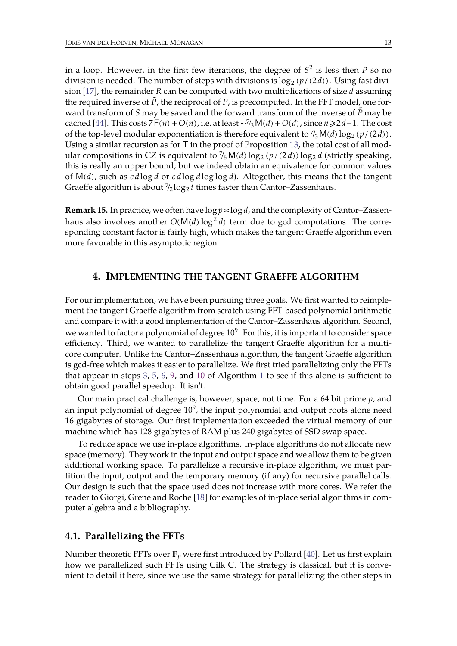in a loop. However, in the first few iterations, the degree of  $S^2$  is less then  $P$  so no division is needed. The number of steps with divisions is  $\log_2 (p/(2d))$ . Using fast division [\[17\]](#page-22-19), the remainder *R* can be computed with two multiplications of size *d* assuming the required inverse of  $\tilde{P}$ , the reciprocal of  $P$ , is precomputed. In the FFT model, one forward transform of *S* may be saved and the forward transform of the inverse of  $\tilde{P}$  may be cached [\[44\]](#page-23-2). This costs  $7F(n) + O(n)$ , i.e. at least ∼<sup>7</sup>/<sub>3</sub>M(*d*) + *O*(*d*), since *n* ≥ 2*d*−1. The cost of the top-level modular exponentiation is therefore equivalent to  $\frac{7}{3}M(d)\log_2\left(\frac{p}{2d}\right)$ . Using a similar recursion as for  $T$  in the proof of Proposition [13,](#page-11-2) the total cost of all modular compositions in CZ is equivalent to  $\frac{7}{6}$ M(*d*) log<sub>2</sub> (*p*/(2*d*)) log<sub>2</sub> *d* (strictly speaking, this is really an upper bound; but we indeed obtain an equivalence for common values of M(*d*), such as *c d* log *d* or *c d* log *d* log log *d*). Altogether, this means that the tangent Graeffe algorithm is about  $\frac{7}{2} \log_2 t$  times faster than Cantor–Zassenhaus.

**Remark 15.** In practice, we often have  $\log p \le \log d$ , and the complexity of Cantor–Zassenhaus also involves another *O*(M(*d*) log <sup>2</sup> *d*) term due to gcd computations. The corre sponding constant factor is fairly high, which makes the tangent Graeffe algorithm even more favorable in this asymptotic region.

## <span id="page-12-0"></span>**4. IMPLEMENTING THE TANGENT GRAEFFE ALGORITHM**

For our implementation, we have been pursuing three goals. We first wanted to reimple ment the tangent Graeffe algorithm from scratch using FFT-based polynomial arithmetic and compare it with a good implementation of the Cantor–Zassenhaus algorithm. Second, we wanted to factor a polynomial of degree  $10^9$ . For this, it is important to consider space efficiency. Third, we wanted to parallelize the tangent Graeffe algorithm for a multi core computer. Unlike the Cantor–Zassenhaus algorithm, the tangent Graeffe algorithm is gcd-free which makes it easier to parallelize. We first tried parallelizing only the FFTs that appear in steps [3](#page-4-3), [5,](#page-4-0) [6,](#page-4-1) [9,](#page-4-4) and [10](#page-4-5) of Algorithm [1](#page-4-2) to see if this alone is sufficient to obtain good parallel speedup. It isn't.

Our main practical challenge is, however, space, not time. For a 64 bit prime *p*, and an input polynomial of degree  $10^9$ , the input polynomial and output roots alone need 16 gigabytes of storage. Our first implementation exceeded the virtual memory of our machine which has 128 gigabytes of RAM plus 240 gigabytes of SSD swap space.

To reduce space we use in-place algorithms. In-place algorithms do not allocate new space (memory). They work in the input and output space and we allow them to be given additional working space. To parallelize a recursive in-place algorithm, we must partition the input, output and the temporary memory (if any) for recursive parallel calls. Our design is such that the space used does not increase with more cores. We refer the reader to Giorgi, Grene and Roche [\[18\]](#page-22-20) for examples of in-place serial algorithms in com puter algebra and a bibliography.

## **4.1. Parallelizing the FFTs**

Number theoretic FFTs over  $\mathbb{F}_p$  were first introduced by Pollard [\[40\]](#page-22-21). Let us first explain how we parallelized such FFTs using Cilk C. The strategy is classical, but it is convenient to detail it here, since we use the same strategy for parallelizing the other steps in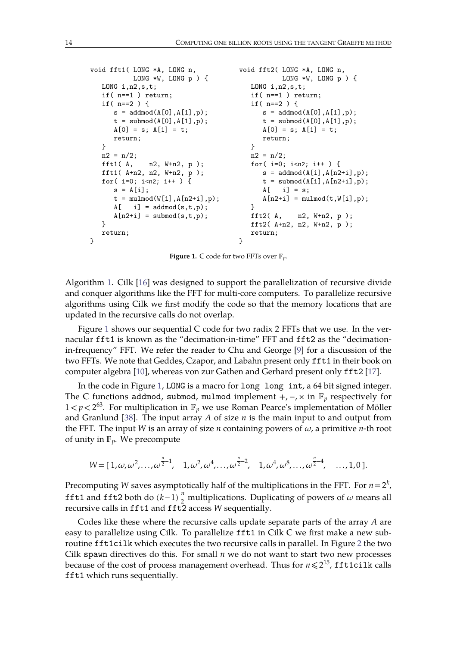```
void fft1( LONG *A, LONG n, void fft2( LONG *A, LONG n,
  LONG *W, LONG p ) { LONG *W, LONG p ) {
                               LONG i, n2, s, t;
  \qquad \qquad \text{if( n==1 ) return;}\\qquad \qquad \qquad \text{if( n==1 ) return;}\\if( n==2 ) { if( n==2 ) {
    s = addmod(A[0], A[1], p); s = addmod(A[0], A[1], p);t = submod(A[0], A[1], p); t = submod(A[0], A[1], p);
    A[0] = s; A[1] = t; A[0] = s; A[1] = t;return; return; return;
  } }
  n2 = n/2; n2 = n/2;
  fft1( A, n2, W+n2, p ); for( i=0; i<n2; i++ ) {<br>fft1( A+n2, n2, W+n2, p ); s = addmod(A[i],A[n2
  fft1( A+n2, n2, W+n2, p );<br>for( i=0; i<n2; i++ ) {<br>t = \text{submod}(A[i], A[n2+i], p);t = \text{submod}(A[i], A[n2+i], p);s = A[i]; A[i] = s;t = \text{mulmod}(W[i], A[n2+i], p); A[n2+i] = \text{mulmod}(t, W[i], p);A[\quad i] = addmod(s,t,p);A[n2+i] = submod(s,t,p); fft2(A, n2, W+n2, p);
  } \text{fft2}( \text{A+n2}, \text{ n2}, \text{ W+n2}, \text{ p });return; return;
} }
```
<span id="page-13-0"></span>**Figure 1.** C code for two FFTs over *p*.

Algorithm [1](#page-4-2). Cilk [\[16\]](#page-22-22) was designed to support the parallelization of recursive divide and conquer algorithms like the FFT for multi-core computers. To parallelize recursive algorithms using Cilk we first modify the code so that the memory locations that are updated in the recursive calls do not overlap.

Figure [1](#page-13-0) shows our sequential C code for two radix 2 FFTs that we use. In the ver nacular fft1 is known as the "decimation-in-time" FFT and fft2 as the "decimationin-frequency" FFT. We refer the reader to Chu and George [[9\]](#page-21-9) for a discussion of the two FFTs. We note that Geddes, Czapor, and Labahn present only fft1 in their book on computer algebra [\[10\]](#page-21-10), whereas von zur Gathen and Gerhard present only fft2 [\[17\]](#page-22-19).

In the code in Figure [1,](#page-13-0) LONG is a macro for long long int, a 64 bit signed integer. The C functions addmod, submod, mulmod implement  $+$ ,  $-$ ,  $\times$  in  $\mathbb{F}_p$  respectively for  $1 < p < 2^{63}$ . For multiplication in  $\mathbb{F}_p$  we use Roman Pearce's implementation of Möller and Granlund [\[38\]](#page-22-23). The input array *A* of size *n* is the main input to and output from the FFT. The input *W* is an array of size *n* containing powers of  $\omega$ , a primitive *n*-th root of unity in  $\mathbb{F}_p$ . We precompute

$$
W = [1, \omega, \omega^2, \ldots, \omega^{\frac{n}{2}-1}, \quad 1, \omega^2, \omega^4, \ldots, \omega^{\frac{n}{2}-2}, \quad 1, \omega^4, \omega^8, \ldots, \omega^{\frac{n}{2}-4}, \quad \ldots, 1, 0].
$$

Precomputing *W* saves asymptotically half of the multiplications in the FFT. For  $n=2^k$ , *k*  $\frac{1}{2}$ fft1 and fft2 both do  $(k-1)\frac{n}{2}$  multiplications. Duplicating of powers of  $\omega$  means all recursive calls in fft1 and fft2 access *W* sequentially.

Codes like these where the recursive calls update separate parts of the array *A* are easy to parallelize using Cilk. To parallelize fft1 in Cilk C we first make a new subroutine fft1cilk which executes the two recursive calls in parallel. In Figure [2](#page-14-0) the two Cilk spawn directives do this. For small *n* we do not want to start two new processes because of the cost of process management overhead. Thus for  $n \leqslant 2^{15}$ , fft1cilk calls fft1 which runs sequentially.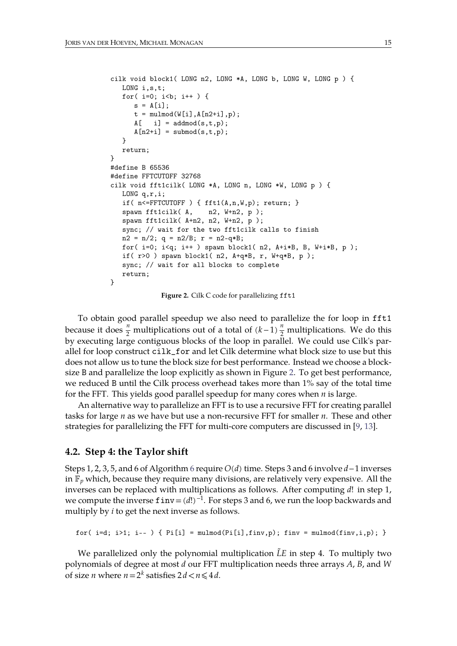```
cilk void block1( LONG n2, LONG *A, LONG b, LONG W, LONG p ) {
  LONG i,s,t;
  for(i=0; i<b; i++) {
     s = A[i];t = \text{mulmod}(W[i], A[n2+i], p);
     A[ i] = addmod(s,t,p);
     A[n2+i] = submod(s,t,p);}
  return;
}
#define B 65536
#define FFTCUTOFF 32768
cilk void fft1cilk( LONG *A, LONG n, LONG *W, LONG p ) {
  LONG q,r,i;
  if( n<=FFTCUTOFF ) { fft1(A,n,W,p); return; }
  spawn fft1cilk(A, n2, W+n2, p);
  spawn fft1cilk( A+n2, n2, W+n2, p );
  sync; // wait for the two fft1cilk calls to finish
  n2 = n/2; q = n2/B; r = n2-q*B;
  for(i=0; i< q; i++) spawn block1(n2, A+i*B, B, W+i*B, p);
   if( r>0 ) spawn block1( n2, A+q*B, r, W+q*B, p );
  sync; // wait for all blocks to complete
  return;
}
```
<span id="page-14-0"></span>**Figure 2.** Cilk C code for parallelizing fft1

To obtain good parallel speedup we also need to parallelize the for loop in fft1 because it does  $\frac{n}{2}$  multiplications out of a total of  $(k-1)\frac{n}{2}$  multiplications. We do this by executing large contiguous blocks of the loop in parallel. We could use Cilk's par allel for loop construct cilk\_for and let Cilk determine what block size to use but this does not allow us to tune the block size for best performance. Instead we choose a block- size B and parallelize the loop explicitly as shown in Figure [2.](#page-14-0) To get best performance, we reduced B until the Cilk process overhead takes more than 1% say of the total time

for the FFT. This yields good parallel speedup for many cores when *n* is large.<br>An alternative way to parallelize an FFT is to use a recursive FFT for creating parallel tasks for large *n* as we have but use a non-recursive FFT for smaller *n*. These and other strategies for parallelizing the FFT for multi-core computers are discussed in [\[9,](#page-21-9) [13\]](#page-21-11).

#### **4.2. Step 4: the Taylor shift**

Steps 1, 2, 3, 5, and 6 of Algorithm [6](#page-10-1) require *O*(*d*) time. Steps 3 and 6 involve *d*−1 inverses in  $\mathbb{F}_p$  which, because they require many divisions, are relatively very expensive. All the inverses can be replaced with multiplications as follows. After computing *d*! in step 1, we compute the inverse finv=(*d*!)<sup>-1</sup>. For steps 3 and 6, we run the loop backwards and multiply by *i* to get the next inverse as follows.

for( i=d; i>1; i-- ) {  $Pi[i] = \text{mulmod}(Pi[i], \text{finv}, p)$ ; finv =  $\text{mulmod}(finv, i, p)$ ; }

We parallelized only the polynomial multiplication *LE* in step 4. To multiply two polynomials of degree at most *d* our FFT multiplication needs three arrays *A*, *B*, and *W* of size *n* where  $n = 2^k$  satisfies  $2d < n \leq 4d$ .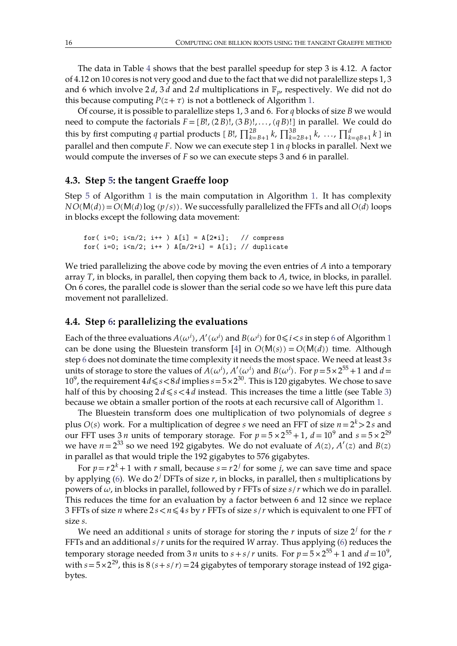The data in Table [4](#page-19-1) shows that the best parallel speedup for step 3 is 4.12. A factor of 4.12 on 10 cores is not very good and due to the fact that we did not paralellize steps 1, 3 and 6 which involve 2*d*, 3*d* and 2*d* multiplications in  $\mathbb{F}_v$ , respectively. We did not do this because computing  $P(z+\tau)$  is not a bottleneck of Algorithm [1](#page-4-2).

Of course, it is possible to paralellize steps 1, 3 and 6. For *q* blocks of size *B* we would need to compute the factorials  $F = [B!/(2B)!,(3B)!,...,(qB)!]$  in parallel. We could do this by first computing *q* partial products [  $B!$ ,  $\prod_{k=B+1}^{2B}k$ ,  $\prod_{k=2B+1}^{3B}k$ ,  $\ldots$ ,  $\prod_{k=qB+1}^{d}k$  ] in parallel and then compute *F*. Now we can execute step 1 in *q* blocks in parallel. Next we would compute the inverses of *F* so we can execute steps 3 and 6 in parallel.

## **4.3. Step [5:](#page-4-0) the tangent Graeffe loop**

Step [5](#page-4-0) of Algorithm [1](#page-4-2) is the main computation in Algorithm [1.](#page-4-2) It has complexity  $NO(M(d)) = O(M(d) \log (p/s))$ . We successfully parallelized the FFTs and all  $O(d)$  loops in blocks except the following data movement:

for( i=0;  $i < n/2$ ;  $i + +$  )  $A[i] = A[2 * i]$ ; // compress for( i=0;  $i$  <n/2;  $i$  ++ ) A[n/2+i] = A[i]; // duplicate

We tried parallelizing the above code by moving the even entries of A into a temporary array *T*, in blocks, in parallel, then copying them back to *A*, twice, in blocks, in parallel. On 6 cores, the parallel code is slower than the serial code so we have left this pure data movement not parallelized.

## **4.4. Step [6:](#page-4-1) parallelizing the evaluations**

Each of the three evaluations  $A(\omega^i)$ ,  $A'(\omega^i)$  and  $B(\omega^i)$  for  $0\!\leqslant\! i\!<\!s$  in step [6](#page-4-1) of Algorithm [1](#page-4-2) can be done using the Bluestein transform [[4\]](#page-21-7) in  $O(M(s)) = O(M(d))$  time. Although step [6](#page-4-1) does not dominate the time complexity it needs the mostspace. We need at least 3*s* units of storage to store the values of  $A(\omega^i)$ ,  $A'(\omega^i)$  and  $B(\omega^i)$ . For  $p = 5 \times 2^{55} + 1$  and  $d =$ 10<sup>9</sup>, the requirement 4 $d \leqslant s < 8d$  implies  $s = 5 \times 2^{30}$ . This is 120 gigabytes. We chose to save half of this by choosing  $2d \leq s \leq 4d$  instead. This increases the time a little (see Table [3\)](#page-19-0) because we obtain a smaller portion of the roots at each recursive call of Algorithm [1.](#page-4-2)

The Bluestein transform does one multiplication of two polynomials of degree *s* plus  $O(s)$  work. For a multiplication of degree  $s$  we need an FFT of size  $n\!=\!2^k\!>\!2\,s$  and our FFT uses  $3\,n$  units of temporary storage. For  $p = 5 \times 2^{55} + 1$ ,  $d = 10^9$  and  $s = 5 \times 2^{29}$ we have  $n = 2^{33}$  so we need 192 gigabytes. We do not evaluate of  $A(z)$ ,  $A'(z)$  and  $B(z)$ in parallel as that would triple the 192 gigabytes to 576 gigabytes.

For  $p = r2^k + 1$  with *r* small, because  $s = r2^j$  for some *j*, we can save time and space by applying [\(6\)](#page-5-1). We do 2 *<sup>j</sup>* DFTs of size *r*, in blocks, in parallel, then *s* multiplications by powers of  $\omega$ , in blocks in parallel, followed by  $r$  FFTs of size  $s/r$  which we do in parallel. This reduces the time for an evaluation by a factor between 6 and 12 since we replace 3 FFTs of size *n* where  $2s < n \leq 4s$  by *r* FFTs of size  $s/r$  which is equivalent to one FFT of size *s*.

We need an additional *s* units of storage for storing the *r* inputs of size 2 *<sup>j</sup>* for the *r* FFTs and an additional *s*/*r* units for the required *W* array. Thus applying [\(6\)](#page-5-1) reduces the temporary storage needed from 3 *n* units to  $s + s/r$  units. For  $p = 5 \times 2^{55} + 1$  and  $d = 10^9$ , , where  $\mathcal{L}$ with  $s = 5 \times 2^{29}$ , this is  $8(s + s/r) = 24$  gigabytes of temporary storage instead of 192 gigabytes.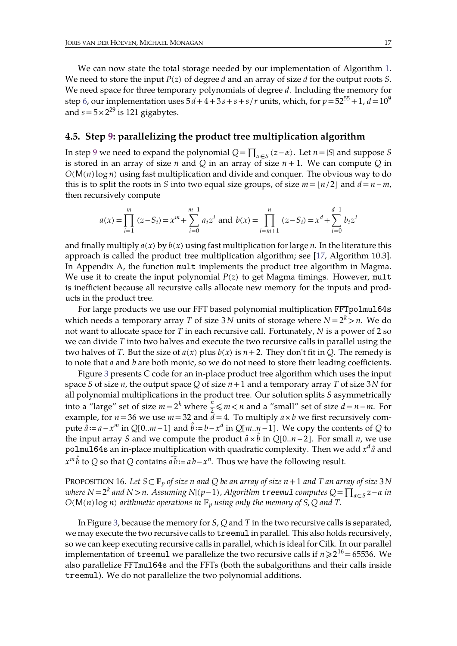We can now state the total storage needed by our implementation of Algorithm [1.](#page-4-2) We need to store the input *P*(*z*) of degree *d* and an array of size *d* for the output roots *S*. We need space for three temporary polynomials of degree *d*. Including the memory for step [6,](#page-4-1) our implementation uses  $5d+4+3s+s+s/r$  units, which, for  $p\!=\!52^{55}\!+\!1$ ,  $d\!=\!10^9$ 9 and  $s = 5 \times 2^{29}$  is 121 gigabytes.

#### **4.5. Step [9:](#page-4-4) parallelizing the product tree multiplication algorithm**

In step [9](#page-4-4) we need to expand the polynomial  $Q = \prod_{\alpha \in S} (z - \alpha)$ . Let  $n = |S|$  and suppose *S* is stored in an array of size *n* and *Q* in an array of size  $n + 1$ . We can compute *Q* in *O*(M(*n*) log *n*) using fast multiplication and divide and conquer. The obvious way to do this is to split the roots in *S* into two equal size groups, of size  $m = \lfloor n/2 \rfloor$  and  $d = n - m$ , then recursively compute

$$
a(x) = \prod_{i=1}^{m} (z - S_i) = x^m + \sum_{i=0}^{m-1} a_i z^i \text{ and } b(x) = \prod_{i=m+1}^{n} (z - S_i) = x^d + \sum_{i=0}^{d-1} b_i z^i
$$

and finally multiply  $a(x)$  by  $b(x)$  using fast multiplication for large *n*. In the literature this approach is called the product tree multiplication algorithm; see [\[17](#page-22-19), Algorithm 10.3]. In Appendix A, the function mult implements the product tree algorithm in Magma. We use it to create the input polynomial  $P(z)$  to get Magma timings. However, mult is inefficient because all recursive calls allocate new memory for the inputs and prod ucts in the product tree.

For large products we use our FFT based polynomial multiplication FFTpolmul64s which needs a temporary array *T* of size 3 *N* units of storage where  $N = 2^k > n$ . We do not want to allocate space for *T* in each recursive call. Fortunately, *N* is a power of 2 so we can divide *T* into two halves and execute the two recursive calls in parallel using the two halves of *T*. But the size of  $a(x)$  plus  $b(x)$  is  $n+2$ . They don't fit in *Q*. The remedy is to note that *a* and *b* are both monic, so we do not need to store their leading coefficients.

Figure [3](#page-17-1) presents C code for an in-place product tree algorithm which uses the input space *S* of size *n*, the output space *Q* of size *n*+1 and a temporary array *T* of size 3*N* for all polynomial multiplications in the product tree. Our solution splits *S* asymmetrically into a "large" set of size  $m = 2^k$  where  $\frac{n}{2} \le m < n$  and a "small" set of size  $d = n - m$ . For example, for  $n = 36$  we use  $m = 32$  and  $\bar{d} = 4$ . To multiply  $a \times b$  we first recursively compute  $\hat{a} := a - x^m$  in  $Q[0..m-1]$  and  $\hat{b} := b - x^d$  in  $Q[m..n-1]$ . We copy the contents of  $Q$  to the input array *S* and we compute the product  $\hat{a} \times \hat{b}$  in *Q*[0..*n* − 2]. For small *n*, we use polmul64s an in-place multiplication with quadratic complexity. Then we add  $x^d\hat{a}$  and  $x^m \hat{b}$  to *Q* so that *Q* contains  $\widehat{ab}$  :=  $ab - x^n$ . Thus we have the following result.

PROPOSITION 16. Let  $S \subseteq \mathbb{F}_p$  of size n and Q be an array of size  $n+1$  and T an array of size 3 N *where N*=2 *<sup>k</sup> and <sup>N</sup>*>*n. Assuming <sup>N</sup>*∣(*p*−1)*, Algorithm treemul computes <sup>Q</sup>*=∏∈*<sup>S</sup> <sup>z</sup>*− *in*  $O(M(n) \log n)$  *arithmetic operations in*  $\mathbb{F}_p$  *using only the memory of S*,*Q and T*.

In Figure [3,](#page-17-1) because the memory for *S*, *Q* and *T* in the two recursive calls is separated, we may execute the two recursive calls to treemul in parallel. This also holds recursively, so we can keep executing recursive calls in parallel, which is ideal for Cilk. In our parallel implementation of  $\tt t$ reemul we parallelize the two recursive calls if  $n\!\geqslant\! 2^{16}\!=\!65536.$  We also parallelize FFTmul64s and the FFTs (both thesubalgorithms and their calls inside treemul). We do not parallelize the two polynomial additions.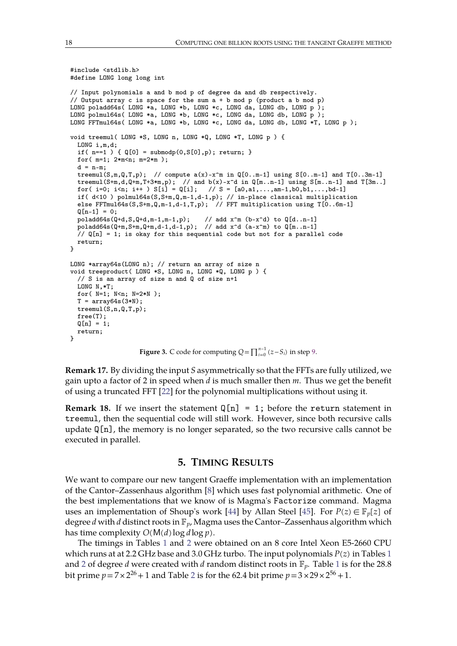```
#include <stdlib.h>
#define LONG long long int
// Input polynomials a and b mod p of degree da and db respectively.
// Output array c is space for the sum a + b mod p (product a b mod p)
LONG poladd64s( LONG *a, LONG *b, LONG *c, LONG da, LONG db, LONG p );
LONG polmul64s( LONG *a, LONG *b, LONG *c, LONG da, LONG db, LONG p );
LONG FFTmul64s( LONG *a, LONG *b, LONG *c, LONG da, LONG db, LONG *T, LONG p);
void treemul( LONG *S, LONG n, LONG *Q, LONG *T, LONG p ) {
 LONG i,m,d;
  if( n==1 ) { Q[0] = submodp(0, S[0], p); return; }
 for( m=1; 2*m<n; m=2*m );
 d = n-m:
 treemul(S,m,Q,T,p); // compute a(x) - x^m in Q[0..m-1] using S[0..m-1] and T[0..3m-1]
 treemul(S+m,d,Q+m,T+3*m,p); // and b(x)-x^d in Q[m..n-1] using S[m..n-1] and T[3m..]
 for( i=0; i<n; i++ ) S[i] = Q[i]; // S = [a0,a1,...,am-1,b0,b1,...,bd-1]
 if( d<10 ) polmul64s(S,S+m,Q,m-1,d-1,p); // in-place classical multiplication
 else FFTmul64s(S,S+m,Q,m-1,d-1,T,p); // FFT multiplication using T[0..6m-1]
 Q[n-1] = 0;poladd64s(Q+d,S,Q+d,m-1,m-1,p); // add x^m (b-x^d) to Q[d..n-1]
  poladd64s(Q+m,S+m,Q+m,d-1,d-1,p); // add x^d (a-x^m) to Q[m..n-1]
 // Q[n] = 1; is okay for this sequential code but not for a parallel code
 return;
}
LONG *array64s(LONG n); // return an array of size n
void treeproduct( LONG *S, LONG n, LONG *Q, LONG p ) {
  // S is an array of size n and Q of size n+1
 LONG N,*T;
 for( N=1; N<n; N=2*N );
 T = \arctan(3*N);treemul(S,n,Q,T,p);
 free(T);
 Q[n] = 1;return;
}
```
<span id="page-17-1"></span>**Figure 3.** C code for computing  $Q = \prod_{i=0}^{n-1} (z - S_i)$  in step [9](#page-4-4).

**Remark 17.** By dividing the input *S* asymmetrically so that the FFTs are fully utilized, we gain upto afactor of 2 in speed when *d* is much smaller then *m*. Thus we get the benefit of using a truncated FFT  $[22]$  for the polynomial multiplications without using it.

**Remark 18.** If we insert the statement  $Q[n] = 1$ ; before the return statement in treemul, then the sequential code will still work. However, since both recursive calls update  $Q[n]$ , the memory is no longer separated, so the two recursive calls cannot be executed in parallel.

## <span id="page-17-0"></span>**5. TIMING RESULTS**

We want to compare our new tangent Graeffe implementation with an implementation of the Cantor–Zassenhaus algorithm [\[8\]](#page-21-5) which uses fast polynomial arithmetic. One of the best implementations that we know of is Magma's Factorize command. Magma uses an implementation of Shoup's work [\[44](#page-23-2)] by Allan Steel [\[45\]](#page-23-3). For  $P(z) \in \mathbb{F}_p[z]$  of degree *d* with *d* distinct roots in  $\mathbb{F}_p$ , Magma uses the Cantor–Zassenhaus algorithm which has time complexity  $O(M(d) \log d \log p)$ .

The timings in Tables [1](#page-18-0) and [2](#page-18-1) were obtained on an 8 core Intel Xeon E5-2660 CPU which runs at at 2.2 GHz base and 3.0 GHz turbo. The input polynomials *P*(*z*) in Tables [1](#page-18-0) and [2](#page-18-1) of degree *d* were created with *d* random distinct roots in  $\mathbb{F}_p$ . Table [1](#page-18-0) is for the 28.8 bit prime  $p$  = 7 × [2](#page-18-1)<sup>26</sup> + 1 and Table 2 is for the 62.4 bit prime  $p$  = 3 × 29 × 2<sup>56</sup> + 1.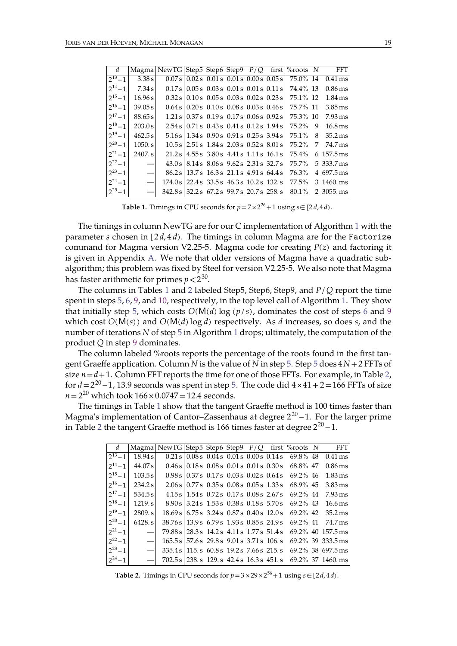| $\begin{array}{\begin{array}{\small \textbf{d} \end{array}}$ |                          | Magma NewTG Step5 Step6 Step9 $P/Q$ first \% noots N |                                             |  |  |                                                                  | <b>FFT</b>                                                                             |
|--------------------------------------------------------------|--------------------------|------------------------------------------------------|---------------------------------------------|--|--|------------------------------------------------------------------|----------------------------------------------------------------------------------------|
| $2^{13} - 1$                                                 | 3.38 s                   |                                                      | $0.07 s$ 0.02 s 0.01 s 0.01 s 0.00 s 0.05 s |  |  |                                                                  | 75.0% 14 0.41 ms                                                                       |
| $2^{14} - 1$                                                 | 7.34 s                   |                                                      |                                             |  |  | $0.17 s   0.05 s   0.03 s   0.01 s   0.01 s   0.11 s   74.4% 13$ | 0.86 ms                                                                                |
| $2^{15}-1$                                                   | 16.96 s                  |                                                      |                                             |  |  |                                                                  | $0.32 \text{ s}$ 0.10 s 0.05 s 0.03 s 0.02 s 0.23 s $175.1\%$ 12 1.84 ms               |
|                                                              | $2^{16} - 1$ 39.05 s     |                                                      |                                             |  |  |                                                                  | $0.64 \text{ s} \cdot 0.20 \text{ s}$ 0.10 s 0.08 s 0.03 s 0.46 s $175.7\%$ 11 3.85 ms |
| $2^{17} - 1$                                                 | 88.65 s                  |                                                      |                                             |  |  |                                                                  | $1.21 \text{ s} \cdot 0.37 \text{ s}$ 0.19 s 0.17 s 0.06 s 0.92 s 75.3% 10 7.93 ms     |
|                                                              | $2^{18} - 1$ 203.0 s     |                                                      |                                             |  |  |                                                                  | $2.54 \text{ s} \mid 0.71 \text{ s}$ 0.43 s 0.41 s 0.12 s 1.94 s 75.2% 9 16.8 ms       |
| $2^{19} - 1$                                                 | 462.5 s                  |                                                      |                                             |  |  |                                                                  | $5.16 s   1.34 s   0.90 s   0.91 s   0.25 s   3.94 s   75.1%$ 8 35.2 ms                |
|                                                              | $2^{20} - 1$ 1050. s     |                                                      |                                             |  |  |                                                                  | $10.5 s$ 2.51 s 1.84 s 2.03 s 0.52 s 8.01 s 75.2\% 7 74.7 ms                           |
| $2^{21} - 1$                                                 | 2407. s                  |                                                      |                                             |  |  |                                                                  | $21.2 s   4.55 s   3.80 s   4.41 s   1.11 s   16.1 s   75.4%$ 6 157.5 ms               |
| $2^{22} - 1$                                                 | $\overline{\phantom{m}}$ |                                                      |                                             |  |  |                                                                  | 43.0 s 8.14 s 8.06 s 9.62 s 2.31 s 32.7 s 75.7% 5 333.7 ms                             |
| $2^{23}-1$                                                   | $\overline{\phantom{a}}$ |                                                      |                                             |  |  |                                                                  | 86.2 s 13.7 s 16.3 s 21.1 s 4.91 s 64.4 s 76.3% 4 697.5 ms                             |
| $2^{24}-1$                                                   | $\frac{1}{2}$            |                                                      |                                             |  |  |                                                                  | $174.0 s$   22.4 s 33.5 s 46.3 s 10.2 s 132. s 77.5% 3 1460. ms                        |
| $2^{25}-1$                                                   |                          |                                                      |                                             |  |  |                                                                  | - $\vert$ 342.8 s 32.2 s 67.2 s 99.7 s 20.7 s 258. s 80.1% 2 3055. ms                  |

<span id="page-18-0"></span>**Table 1.** Timings in CPU seconds for  $p = 7 \times 2^{26} + 1$  using  $s \in [2d, 4d)$ .

The timings in column NewTG are for our C implementation of Algorithm [1](#page-4-2) with the parameter *s* chosen in  $[2d, 4d)$ . The timings in column Magma are for the Factorize command for Magma version V2.25-5. Magma code for creating *P*(*z*) and factoring it is given in Appendix [A](#page-20-0). We note that older versions of Magma have a quadratic sub algorithm; this problem was fixed by Steel for version V2.25-5. We also note that Magma has faster arithmetic for primes  $p\!<\!2^{30}$ . .

The columns in Tables [1](#page-18-0) and [2](#page-18-1) labeled Step5, Step6, Step9, and *P*/*Q* report the time spent in steps [5,](#page-4-0) [6,](#page-4-1) [9](#page-4-4), and [10,](#page-4-5) respectively, in the top level call of Algorithm [1.](#page-4-2) They show that initially step [5](#page-4-0), which costs  $O(M(d) \log (p/s))$ , dominates the cost of steps [6](#page-4-1) and [9](#page-4-4) which cost  $O(M(s))$  and  $O(M(d) \log d)$  respectively. As *d* increases, so does *s*, and the number of iterations *N* of step [5](#page-4-0) in Algorithm [1](#page-4-2) drops; ultimately, the computation of the product *Q* in step [9](#page-4-4) dominates.

The column labeled %roots reports the percentage of the roots found in the first tangent Graeffe application. Column *N* is the value of *N* in step [5.](#page-4-0) Step [5](#page-4-0) does 4*N*+2 FFTs of size  $n = d + 1$ . Column FFT reports the time for one of those FFTs. For example, in Table [2,](#page-18-1) for  $d$  = 2<sup>20</sup> – 1, 13.9 seconds was spent in step [5.](#page-4-0) The code did 4 × 41 + 2 = 166 FFTs of size  $n = 2^{20}$  which took  $166 \times 0.0747 = 12.4$  seconds.

The timings in Table [1](#page-18-0) show that the tangent Graeffe method is 100 times faster than Magma's implementation of Cantor–Zassenhaus at degree  $2^{20}-1.$  For the larger prime in Table [2](#page-18-1) the tangent Graeffe method is 166 times faster at degree  $2^{20} - 1$ .

| $\begin{array}{\begin{array}{\small \textbf{d} \end{array}}$ |                      |  |  |  |  | Magma NewTG Step5 Step6 Step9 P/Q first \%roots N FFT                                                                                                                                    |
|--------------------------------------------------------------|----------------------|--|--|--|--|------------------------------------------------------------------------------------------------------------------------------------------------------------------------------------------|
|                                                              |                      |  |  |  |  | $2^{13} - 1$ 18.94s 0.21s 0.08s 0.04s 0.01s 0.00s 0.14s 69.8% 48 0.41 ms                                                                                                                 |
|                                                              | $2^{14} - 1$ 44.07 s |  |  |  |  | $0.46 \text{ s} \cdot 0.18 \text{ s} \cdot 0.08 \text{ s} \cdot 0.01 \text{ s} \cdot 0.01 \text{ s} \cdot 0.30 \text{ s} \cdot 68.8\% \text{ 47} \cdot 0.86 \text{ ms}$                  |
|                                                              |                      |  |  |  |  | $\begin{bmatrix} 2^{15} - 1 \end{bmatrix}$ 103.5 s $\begin{bmatrix} 0.98 \text{ s} \end{bmatrix}$ 0.37 s 0.17 s 0.03 s 0.02 s 0.64 s $\begin{bmatrix} 69.2\% & 46 \end{bmatrix}$ 1.83 ms |
|                                                              |                      |  |  |  |  | $\left 2^{16}-1\right $ 234.2s $\left 2.06 s\right $ 0.77s 0.35s 0.08s 0.05s 1.33s 68.9% 45 3.83 ms                                                                                      |
|                                                              | $2^{17} - 1$ 534.5 s |  |  |  |  | $4.15 \text{ s}$ 1.54 s 0.72 s 0.17 s 0.08 s 2.67 s 69.2% 44 7.93 ms                                                                                                                     |
|                                                              |                      |  |  |  |  | $\begin{bmatrix} 2^{18} - 1 \end{bmatrix}$ 1219.s   8.90s   3.24s 1.53s 0.38s 0.18s 5.70s   69.2% 43 16.6 ms                                                                             |
|                                                              |                      |  |  |  |  | $\begin{bmatrix} 2^{19} - 1 \end{bmatrix}$ 2809.s $\begin{bmatrix} 18.69 s & 6.75 s & 3.24 s & 0.87 s & 0.40 s & 12.0 s & 69.2\% & 42 & 35.2 m s \end{bmatrix}$                          |
|                                                              |                      |  |  |  |  | $\begin{bmatrix} 2^{20} - 1 \end{bmatrix}$ 6428.s $\begin{bmatrix} 38.76 s \end{bmatrix}$ 13.9s 6.79s 1.93s 0.85s 24.9s 69.2% 41 74.7 ms                                                 |
| $2^{21}-1$                                                   |                      |  |  |  |  | - $\vert$ 79.88 s   28.3 s 14.2 s 4.11 s 1.77 s 51.4 s   69.2% 40 157.5 ms                                                                                                               |
|                                                              |                      |  |  |  |  | $\begin{bmatrix} 2^{22} - 1 \end{bmatrix}$ - $\begin{bmatrix} 165.5s & 57.6s & 29.8s & 9.01s & 3.71s & 106. s & 69.2\% & 39 & 333.5 \end{bmatrix}$                                       |
|                                                              |                      |  |  |  |  | $\begin{bmatrix} 2^{23}-1 \end{bmatrix}$ $-$ 335.4 s 115. s 60.8 s 19.2 s 7.66 s 215. s 69.2% 38 697.5 ms                                                                                |
| $2^{24}-1$                                                   |                      |  |  |  |  | - $ 702.5s 238.5129.542.4s16.3s451.5 69.2\%371460.ms$                                                                                                                                    |

<span id="page-18-1"></span>**Table 2.** Timings in CPU seconds for  $p = 3 \times 29 \times 2^{56} + 1$  using  $s \in [2d, 4d)$ .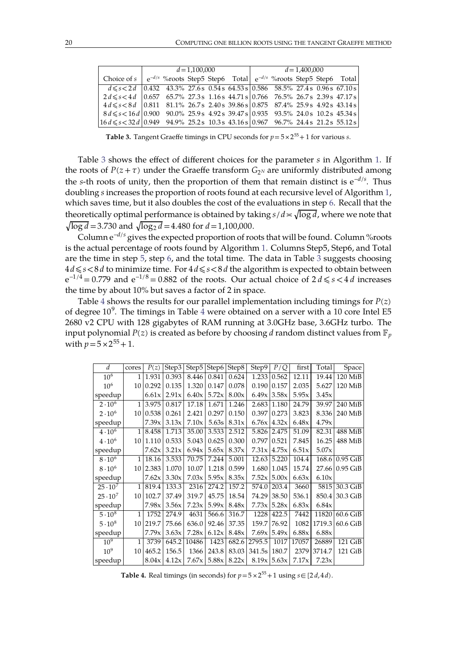|                                                                                           |  | $d = 1,100,000$ |  | $d = 1,400,000$ |  |  |  |  |  |  |  |
|-------------------------------------------------------------------------------------------|--|-----------------|--|-----------------|--|--|--|--|--|--|--|
| Choice of $s \mid e^{-d/s}$ %roots Step5 Step6 Total $ e^{-d/s}$ %roots Step5 Step6 Total |  |                 |  |                 |  |  |  |  |  |  |  |
| $d \leq s < 2d$ 0.432 43.3% 27.6s 0.54s 64.53s 0.586 58.5% 27.4s 0.96s 67.10s             |  |                 |  |                 |  |  |  |  |  |  |  |
| $2d \le s < 4d$   0.657 65.7% 27.3s 1.16s 44.71s   0.766 76.5% 26.7s 2.39s 47.17s         |  |                 |  |                 |  |  |  |  |  |  |  |
| $4d \leqslant s < 8d$   0.811 81.1% 26.7s 2.40s 39.86s   0.875 87.4% 25.9s 4.92s 43.14s   |  |                 |  |                 |  |  |  |  |  |  |  |
| $8d \le s < 16d$ 0.900 90.0% 25.9 s 4.92 s 39.47 s 0.935 93.5% 24.0 s 10.2 s 45.34 s      |  |                 |  |                 |  |  |  |  |  |  |  |
| $ 16d \leq s$ < 32d 0.949 94.9% 25.2s 10.3s 43.16s 0.967 96.7% 24.4s 21.2s 55.12s         |  |                 |  |                 |  |  |  |  |  |  |  |

<span id="page-19-0"></span>**Table 3.** Tangent Graeffe timings in CPU seconds for *p*=5×2 <sup>55</sup>+1 for various *s*.

Table [3](#page-19-0) shows the effect of different choices for the parameter *s* in Algorithm [1.](#page-4-2) If the roots of  $P(z+\tau)$  under the Graeffe transform  $G_{2^N}$  are uniformly distributed among the *s*-th roots of unity, then the proportion of them that remain distinct is  $e^{-d/s}$ . Thus doubling *s* increases the proportion of roots found at each recursive level of Algorithm [1,](#page-4-2) which saves time, but it also doubles the cost of the evaluations in step [6.](#page-4-1) Recall that the theoretically optimal performance is obtained by taking  $s/d \approx \sqrt{\log d}$ , where we note that  $\sqrt{\log d}$  = 3.730 and  $\sqrt{\log_2 d}$  = 4.480 for *d* = 1,100,000.

Column e <sup>−</sup>*d*/*<sup>s</sup>* gives the expected proportion ofroots that will be found. Column %roots is the actual percentage of roots found by Algorithm [1.](#page-4-2) Columns Step5, Step6, and Total are the time in step [5,](#page-4-0) step [6,](#page-4-1) and the total time. The data in Table [3](#page-19-0) suggests choosing 4*d*⩽*s*<8*d* to minimize time. For 4*d*⩽*s*<8*d* the algorithm is expected toobtain between  $e^{-1/4} = 0.779$  and  $e^{-1/8} = 0.882$  of the roots. Our actual choice of  $2 d \le s < 4 d$  increases the time by about 10% but saves a factor of 2 in space.

Table [4](#page-19-1) shows the results for our parallel implementation including timings for  $P(z)$ of degree  $10^9$ . The timings in Table [4](#page-19-1) were obtained on a server with a 10 core Intel E5 2680 v2 CPU with 128 gigabytes of RAM running at 3.0GHz base, 3.6GHz turbo. The input polynomial  $P(z)$  is created as before by choosing *d* random distinct values from  $\mathbb{F}_p$ with  $p = 5 \times 2^{55} + 1$ .

| $\boldsymbol{d}$ | cores          | P(z)     |                   | Step3   Step5   Step6   Step8 |                     |                     | Step $P/Q$         |                    | first | Total       | Space                |
|------------------|----------------|----------|-------------------|-------------------------------|---------------------|---------------------|--------------------|--------------------|-------|-------------|----------------------|
| 10 <sup>6</sup>  | 1              | 1.931    | 0.393             | 8.446                         |                     | $0.841 \mid 0.624$  |                    | $1.233 \mid 0.562$ | 12.11 | 19.44       | $120$ MiB            |
| 10 <sup>6</sup>  |                | 10 0.292 | 0.135             | 1.320                         | 0.147               | 0.078               |                    | $0.190$ 0.157      | 2.035 | 5.627       | $120$ MiB            |
| speedup          |                |          | $6.61x$ 2.91x     |                               | $6.40x$ 5.72x 8.00x |                     |                    | $6.49x$ 3.58x      | 5.95x | 3.45x       |                      |
| $2 \cdot 10^{6}$ |                | 1 3.975  | 0.817             | 17.18                         | 1.671               | 1.246               |                    | $2.683$ 1.180      | 24.79 |             | 39.97 240 MiB        |
| $2 \cdot 10^6$   |                | 10 0.538 | 0.261             | 2.421                         | 0.297               | 0.150               |                    | $0.397$ 0.273      | 3.823 |             | 8.336 240 MiB        |
| speedup          |                |          | $7.39x$ 3.13x     | 7.10x                         |                     | $5.63s$ 8.31x       |                    | $6.76x$ 4.32x      | 6.48x | 4.79x       |                      |
| $4 \cdot 10^6$   |                |          | 1 8.458 1.713     | 35.00                         | 3.533               | 2.512               |                    | 5.826 2.475        | 51.09 | 82.31       | 488 MiB              |
| $4 \cdot 10^6$   |                | 10 1.110 | 0.533             | 5.043                         | 0.625               | 0.300               |                    | 0.797 0.521        | 7.845 | 16.25       | 488 MiB              |
| speedup          |                |          | $7.62x$ 3.21x     |                               | $6.94x$ 5.65x 8.37x |                     |                    | $7.31x$ 4.75x      | 6.51x | 5.07x       |                      |
| $8\cdot10^6$     |                |          | 1   18.16   3.533 | 70.75                         | 7.244               | 5.001               |                    | 12.63 5.220        | 104.4 |             | 168.6 0.95 GiB       |
| $8 \cdot 10^6$   |                | 10 2.383 | 1.070             | 10.07                         |                     | 1.218 0.599         |                    | 1.680 1.045        | 15.74 |             | 27.66 0.95 GiB       |
| speedup          |                |          | $7.62x$ 3.30x     |                               | $7.03x$ 5.95x 8.35x |                     |                    | $7.52x$ 5.00x      | 6.63x | 6.10x       |                      |
| $25 \cdot 10^7$  | 1 <sup>1</sup> | 819.4    | 133.3             | 2316                          | 274.2               | 157.2               |                    | 574.0 203.4        | 3660  |             | 5815 30.3 GiB        |
| $25 \cdot 10^7$  |                | 10 102.7 | 37.49             | 319.7                         | 45.75               | 18.54               |                    | 74.29 38.50        | 536.1 |             | 850.4 30.3 GiB       |
| speedup          |                |          | 7.98x 3.56x       | 7.23x                         |                     | $5.99x$ 8.48x       |                    | $7.73x$ 5.28x      | 6.83x | 6.84x       |                      |
| $5 \cdot 10^8$   | $\mathbf{1}$   | 1752     | 274.9             | 4631                          |                     | 566.6 316.7         |                    | 1228 422.5         | 7442  |             | 11820 60.6 GiB       |
| $5 \cdot 10^8$   |                | 10 219.7 | 75.66             | 636.0                         |                     | 92.46 37.35         |                    | 159.7 76.92        |       |             | 1082 1719.3 60.6 GiB |
| speedup          |                | 7.79x    | 3.63x             |                               | $7.28x$ 6.12x 8.48x |                     |                    | $7.69x$ 5.49x      | 6.88x | 6.88x       |                      |
| 10 <sup>9</sup>  | $\mathbf{1}$   | 3739     |                   | 645.2 10486                   | 1423                |                     | 682.6 2795.5       | 1017               | 17057 | 26889       | $121$ GiB            |
| 10 <sup>9</sup>  | 10 I           | 465.2    | 156.5             | 1366                          | 243.8               |                     | 83.03 341.5s 180.7 |                    |       | 2379 3714.7 | $121$ GiB            |
| speedup          |                |          | $8.04x$ 4.12x     |                               |                     | $7.67x$ 5.88x 8.22x |                    | $8.19x$ 5.63x      | 7.17x | 7.23x       |                      |

<span id="page-19-1"></span>**Table 4.** Real timings (in seconds) for  $p = 5 \times 2^{55} + 1$  using  $s \in [2d, 4d)$ .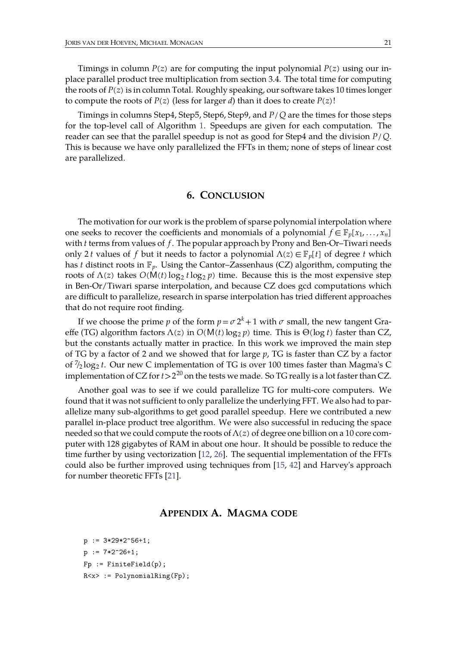Timings in column  $P(z)$  are for computing the input polynomial  $P(z)$  using our inplace parallel product tree multiplication from section 3.4. The total time for computing the roots of  $P(z)$  is in column Total. Roughly speaking, our software takes 10 times longer to compute the roots of *P*(*z*) (less for larger *d*) than it does to create *P*(*z*)!

Timings in columns Step4, Step5, Step6, Step9, and *P*/*Q* are the times for those steps for the top-level call of Algorithm [1.](#page-4-2) Speedups are given for each computation. The reader can seethat the parallel speedup is not as good for Step4 and the division *P*/*Q*. This is because we have only parallelized the FFTs in them; none of steps of linear cost are parallelized.

#### **6. CONCLUSION**

The motivation for our work is the problem of sparse polynomial interpolation where one seeks to recover the coefficients and monomials of a polynomial  $f \in \mathbb{F}_n[x_1, \ldots, x_n]$ with *t* terms from values of *f*. The popular approach by Prony and Ben-Or-Tiwari needs only 2*t* values of *f* but it needs to factor a polynomial  $\Lambda(z) \in \mathbb{F}_p[t]$  of degree *t* which has *t* distinct roots in  $\mathbb{F}_v$ . Using the Cantor–Zassenhaus (CZ) algorithm, computing the roots of  $\Lambda(z)$  takes  $O(M(t) \log_2 t \log_2 p)$  time. Because this is the most expensive step in Ben-Or/Tiwari sparse interpolation, and because CZ does gcd computations which are difficult to parallelize, research in sparse interpolation has tried different approaches that do not require root finding.

If we choose the prime  $p$  of the form  $p = \sigma 2^k + 1$  with  $\sigma$  small, the new tangent Graeffe (TG) algorithm factors  $\Lambda(z)$  in  $O(M(t) \log_2 p)$  time. This is  $\Theta(\log t)$  faster than CZ, but the constants actually matter in practice. In this work we improved the main step of TG by a factor of 2 and we showed that for large *p*, TG is faster than CZ by a factor of / 7 <sup>2</sup> log<sup>2</sup> *t*. Our new C implementation of TG is over 100 times faster than Magma's C implementation of CZ for  $t\!>\!2^{20}$  on the tests we made. So TG really is a lot faster than CZ.

Another goal was to see if we could parallelize TG for multi-core computers. We found that it was not sufficient to only parallelize the underlying FFT. We also had to parallelize many sub-algorithms to get good parallel speedup. Here we contributed a new parallel in-place product tree algorithm. We were also successful in reducing the space needed so that we could compute the roots of  $\Lambda(z)$  of degree one billion on a 10 core computer with 128 gigabytes of RAM in about one hour. It should be possible to reduce the time further by using vectorization [\[12,](#page-21-12) [26](#page-22-24)]. The sequential implementation of the FFTs could also be further improved using techniques from [[15,](#page-22-25) [42](#page-23-4)] and Harvey's approach for number theoretic FFTs [\[21\]](#page-22-26).

## <span id="page-20-0"></span>**APPENDIX A. MAGMA CODE**

```
p := 3*29*2^56+1;p := 7*2^26+1;Fp := FiniteField(p);R < x > : PolynomialRing(Fp);
```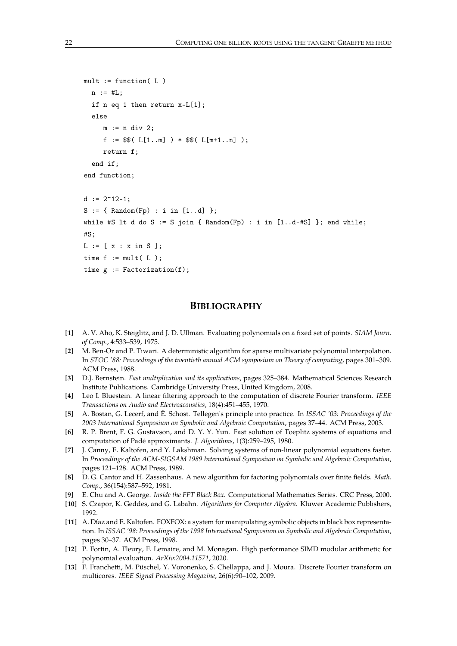```
mult := function(L)
  n := #L;if n eq 1 then return x-L[1];
  else
     m := n div 2;
     f := $$(L[1..m]) * $$(L[m+1..n]);
     return f;
  end if;
end function;
d := 2^{\text{-}}12-1;
S := \{ Random(Fp) : i in [1..d] \};
while #S lt d do S := S join { Random(Fp) : i in [1..d-#S] }; end while;
#S.
L := [ x : x in S ];time f := mult(L);
time g := Factorization(f);
```
## **BIBLIOGRAPHY**

- <span id="page-21-8"></span>**[1]** A. V. Aho, K. Steiglitz, and J. D. Ullman. Evaluating polynomials on a fixed set of points. *SIAM Journ. of Comp.*, 4:533–539, 1975.
- <span id="page-21-0"></span>**[2]** M. Ben-Or and P. Tiwari. A deterministic algorithm for sparse multivariate polynomial interpolation. In *STOC '88: Proceedings of the twentieth annual ACM symposium on Theory of computing*, pages 301–309. ACM Press, 1988.
- <span id="page-21-6"></span>**[3]** D.J. Bernstein. *Fast multiplication and its applications*, pages 325–384. Mathematical Sciences Research Institute Publications. Cambridge University Press, United Kingdom, 2008.
- <span id="page-21-7"></span>**[4]** Leo I. Bluestein. A linear filtering approach to the computation of discrete Fourier transform. *IEEE Transactions on Audio and Electroacoustics*, 18(4):451–455, 1970.
- <span id="page-21-4"></span>**[5]** A. Bostan, G. Lecerf, and É. Schost. Tellegen's principle into practice. In *ISSAC '03: Proceedings of the 2003 International Symposium on Symbolic and Algebraic Computation*, pages 37–44. ACM Press, 2003.
- <span id="page-21-3"></span>**[6]** R. P. Brent, F. G. Gustavson, and D. Y. Y. Yun. Fast solution of Toeplitz systems of equations and computation of Padé approximants. *J. Algorithms*, 1(3):259–295, 1980.
- <span id="page-21-1"></span>**[7]** J. Canny, E. Kaltofen, and Y. Lakshman. Solving systems of non-linear polynomial equations faster. In *Proceedings of the ACM-SIGSAM 1989 International Symposium on Symbolic and Algebraic Computation*, pages 121–128. ACM Press, 1989.
- <span id="page-21-5"></span>**[8]** D. G. Cantor and H. Zassenhaus. A new algorithm for factoring polynomials over finite fields. *Math. Comp.*, 36(154):587–592, 1981.
- <span id="page-21-9"></span>**[9]** E. Chu and A. George. *Inside the FFT Black Box*. Computational Mathematics Series. CRC Press, 2000.
- <span id="page-21-10"></span>**[10]** S. Czapor, K. Geddes, and G. Labahn. *Algorithms for Computer Algebra*. Kluwer Academic Publishers, 1992.
- <span id="page-21-2"></span>**[11]** A. Díaz and E. Kaltofen. FOXFOX: a system for manipulating symbolic objects in black box representation. In *ISSAC '98: Proceedings of the 1998 International Symposium on Symbolic and Algebraic Computation*, pages 30–37. ACM Press, 1998.
- <span id="page-21-12"></span>**[12]** P. Fortin, A. Fleury, F. Lemaire, and M. Monagan. High performance SIMD modular arithmetic for polynomial evaluation. *ArXiv:2004.11571*, 2020.
- <span id="page-21-11"></span>**[13]** F. Franchetti, M. Püschel, Y. Voronenko, S. Chellappa, and J. Moura. Discrete Fourier transform on multicores. *IEEE Signal Processing Magazine*, 26(6):90–102, 2009.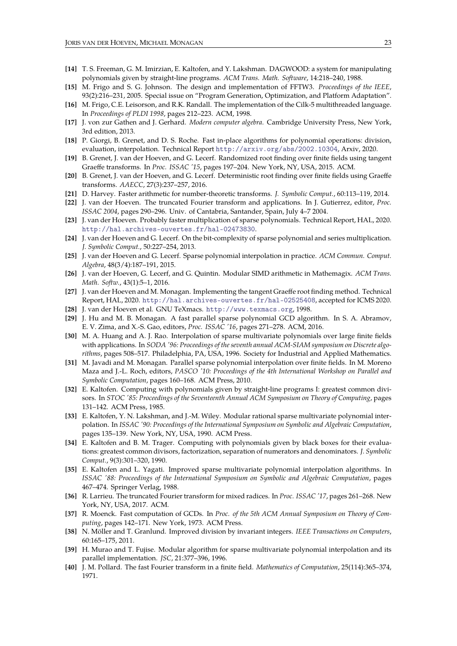- <span id="page-22-9"></span>**[14]** T. S. Freeman, G. M. Imirzian, E. Kaltofen, and Y. Lakshman. DAGWOOD: a system for manipulating polynomials given by straight-line programs. *ACM Trans. Math. Software*, 14:218–240, 1988.
- <span id="page-22-25"></span>**[15]** M. Frigo and S. G. Johnson. The design and implementation of FFTW3.*Proceedings of the IEEE*, 93(2):216–231, 2005. Special issue on "Program Generation, Optimization, and Platform Adaptation".
- <span id="page-22-22"></span>**[16]** M. Frigo, C.E. Leisorson, and R.K. Randall. The implementation of the Cilk-5 multithreaded language. In *Proceedings of PLDI 1998*, pages 212–223. ACM, 1998.
- <span id="page-22-19"></span>**[17]** J.von zur Gathen and J. Gerhard. *Modern computer algebra*. Cambridge University Press, New York, 3rd edition, 2013.
- <span id="page-22-20"></span>**[18]** P. Giorgi, B. Grenet, and D. S. Roche. Fast in-place algorithms for polynomial operations: division, evaluation, interpolation. Technical Report <http://arxiv.org/abs/2002.10304>, Arxiv, 2020.
- <span id="page-22-0"></span>**[19]** B. Grenet, J. van der Hoeven, and G. Lecerf. Randomized root finding over finite fields using tangent Graeffe transforms. In *Proc. ISSAC '15*, pages 197–204. New York, NY, USA, 2015. ACM.
- <span id="page-22-15"></span>**[20]** B. Grenet, J. van der Hoeven, and G. Lecerf. Deterministic root finding over finite fields using Graeffe transforms. *AAECC*, 27(3):237–257, 2016.
- <span id="page-22-26"></span>**[21]** D. Harvey. Faster arithmetic for number-theoretic transforms. *J. Symbolic Comput.*, 60:113–119, 2014.
- <span id="page-22-16"></span>**[22]** J.van der Hoeven. The truncated Fourier transform and applications. In J. Gutierrez, editor, *Proc. ISSAC 2004*, pages 290–296. Univ. of Cantabria, Santander, Spain, July 4–7 2004.
- <span id="page-22-18"></span>**[23]** J.van der Hoeven. Probably faster multiplication of sparse polynomials. Technical Report, HAL, 2020. <http://hal.archives-ouvertes.fr/hal-02473830>.
- <span id="page-22-10"></span>**[24]** J.van der Hoeven and G. Lecerf. On thebit-complexity of sparse polynomial and series multiplication. *J. Symbolic Comput.*, 50:227–254, 2013.
- <span id="page-22-11"></span>**[25]** J.van der Hoeven and G. Lecerf. Sparse polynomial interpolation in practice. *ACM Commun. Comput. Algebra*, 48(3/4):187–191, 2015.
- <span id="page-22-24"></span>**[26]** J.van der Hoeven, G. Lecerf, and G. Quintin. Modular SIMD arithmetic in Mathemagix. *ACM Trans. Math. Softw.*, 43(1):5–1, 2016.
- <span id="page-22-1"></span>**[27]** J.van der Hoeven and M. Monagan. Implementing the tangent Graeffe root finding method. Technical Report, HAL, 2020. <http://hal.archives-ouvertes.fr/hal-02525408>, accepted for ICMS 2020.
- <span id="page-22-2"></span>**[28]** J.van der Hoeven et al. GNU TeXmacs. <http://www.texmacs.org>, 1998.
- <span id="page-22-12"></span>**[29]** J. Hu and M. B. Monagan. A fast parallel sparse polynomial GCD algorithm. In S. A. Abramov, E. V. Zima, and X.-S. Gao, editors, *Proc. ISSAC '16*, pages 271–278. ACM, 2016.
- <span id="page-22-3"></span>**[30]** M. A. Huang and A. J. Rao. Interpolation of sparse multivariate polynomials over large finite fields with applications. In *SODA '96: Proceedings of the seventh annual ACM-SIAM symposium on Discrete algo rithms*, pages 508–517. Philadelphia, PA, USA, 1996. Society for Industrial and Applied Mathematics.
- <span id="page-22-13"></span>**[31]** M. Javadi and M. Monagan. Parallel sparse polynomial interpolation over finite fields. In M. Moreno Maza and J.-L. Roch, editors, *PASCO '10: Proceedings of the 4th International Workshop on Parallel and Symbolic Computation*, pages 160–168. ACM Press, 2010.
- <span id="page-22-4"></span>**[32]** E. Kaltofen. Computing with polynomials given by straight-line programs I: greatest common divi sors. In *STOC '85: Proceedings of the Seventeenth Annual ACM Symposium on Theoryof Computing*, pages 131–142. ACM Press, 1985.
- <span id="page-22-5"></span>**[33]** E. Kaltofen, Y. N. Lakshman, and J.-M. Wiley. Modular rational sparse multivariate polynomial inter polation. In *ISSAC '90: Proceedings of the International Symposium on Symbolic and Algebraic Computation*, pages 135–139. New York, NY, USA, 1990. ACM Press.
- <span id="page-22-6"></span>**[34]** E. Kaltofen and B. M. Trager. Computing with polynomials given by black boxes for their evaluations: greatest common divisors, factorization, separation of numerators and denominators. *J. Symbolic Comput.*, 9(3):301–320, 1990.
- <span id="page-22-7"></span>**[35]** E. Kaltofen and L. Yagati. Improved sparse multivariate polynomial interpolation algorithms. In *ISSAC '88: Proceedings of the International Symposium on Symbolic and Algebraic Computation*, pages 467–474. Springer Verlag, 1988.
- <span id="page-22-17"></span>**[36]** R. Larrieu. The truncated Fourier transform for mixed radices. In *Proc. ISSAC '17*, pages 261–268. New York, NY, USA, 2017. ACM.
- <span id="page-22-14"></span>**[37]** R. Moenck. Fast computation of GCDs. In *Proc. of the 5th ACM Annual Symposium on Theory of Com puting*, pages 142–171. New York, 1973. ACM Press.
- <span id="page-22-23"></span>**[38]** N. Möller and T. Granlund. Improved division by invariant integers. *IEEE Transactions on Computers*, 60:165–175, 2011.
- <span id="page-22-8"></span>**[39]** H. Murao and T. Fujise. Modular algorithm for sparse multivariate polynomial interpolation and its parallel implementation. *JSC*, 21:377–396, 1996.
- <span id="page-22-21"></span>**[40]** J.M. Pollard. The fast Fourier transform in a finite field. *Mathematics of Computation*, 25(114):365–374, 1971.